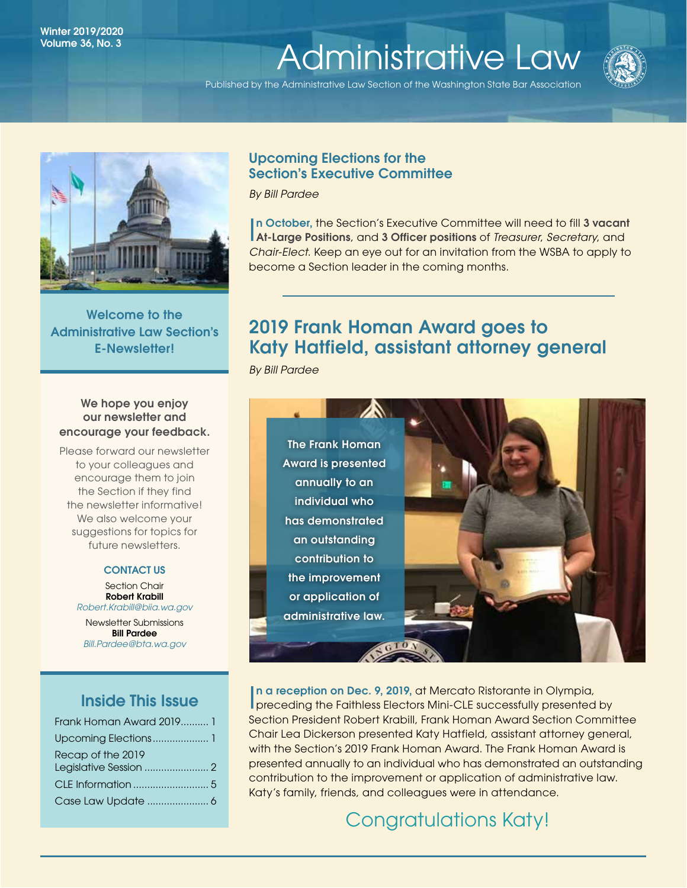# Winter 2019/2020<br>Volume 36 No. 3 Volume 36, No. 3<br>[Administrative Law](http://www.wsba.org/lawyers/groups/administrativelaw/adminlaw.htm)

Published by the Administrative Law Section of the Washington State Bar Association





Welcome to the Administrative Law Section's E-Newsletter!

# We hope you enjoy our newsletter and encourage your feedback.

Please forward our newsletter to your colleagues and encourage them to join the Section if they find the newsletter informative! We also welcome your suggestions for topics for future newsletters.

# CONTACT US

Section Chair Robert Krabill *[Robert.Krabill@biia.wa.gov](mailto:Robert.Krabill%40biia.wa.gov?subject=)* Newsletter Submissions Bill Pardee *[Bill.Pardee@bta.wa.gov](mailto:Bill.Pardee%40bta.wa.gov?subject=Administrative%20Law%20Section%20Newsletter)*

# Inside This Issue

| Frank Homan Award 2019 1 |
|--------------------------|
|                          |
| Recap of the 2019        |
|                          |
|                          |

# Upcoming Elections for the Section's Executive Committee

*By Bill Pardee*

I At-Large Positions, and 3 Officer positions of *Treasurer*, *Secretary*, and In October, the Section's Executive Committee will need to fill 3 vacant *Chair-Elect*. Keep an eye out for an invitation from the WSBA to apply to become a Section leader in the coming months.

# 2019 Frank Homan Award goes to Katy Hatfield, assistant attorney general

*By Bill Pardee*



In a reception on Dec. 9, 2019, at Mercato Ristorante in Olympia,<br>preceding the Faithless Electors Mini-CLE successfully presented by n a reception on Dec. 9, 2019, at Mercato Ristorante in Olympia, Section President Robert Krabill, Frank Homan Award Section Committee Chair Lea Dickerson presented Katy Hatfield, assistant attorney general, with the Section's 2019 Frank Homan Award. The Frank Homan Award is presented annually to an individual who has demonstrated an outstanding contribution to the improvement or application of administrative law. Katy's family, friends, and colleagues were in attendance.

# Congratulations Katy!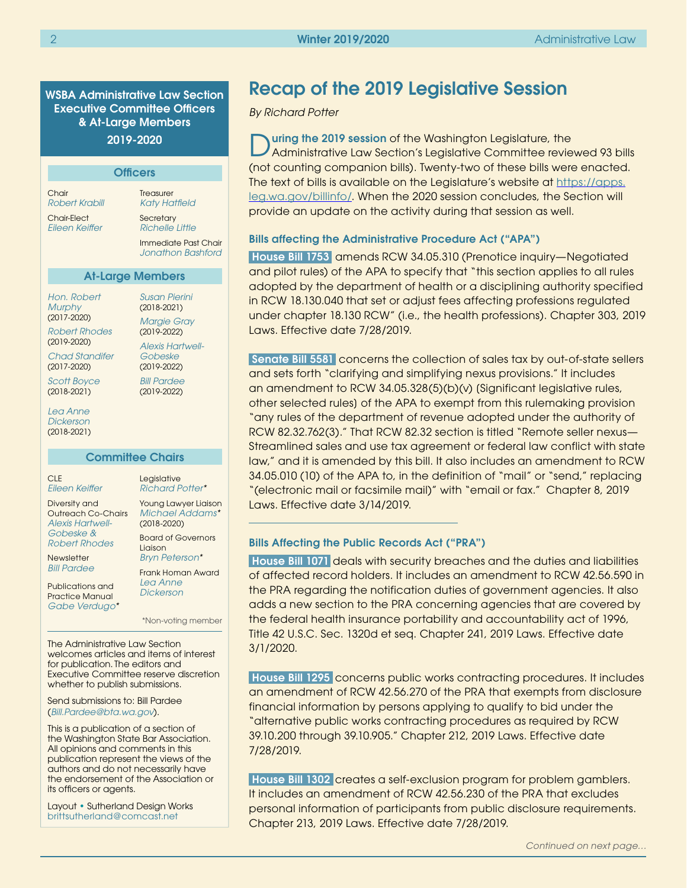WSBA Administrative Law Section Executive Committee Officers & At-Large Members 2019-2020

| <b>Officers</b>                                                                                                                                                               |                                                                                                                                                                             |  |
|-------------------------------------------------------------------------------------------------------------------------------------------------------------------------------|-----------------------------------------------------------------------------------------------------------------------------------------------------------------------------|--|
| Chair<br>Robert Krabill<br><b>Chair-Elect</b><br>Fileen Keiffer                                                                                                               | <b>Treasurer</b><br><b>Katy Hatfield</b><br>Secretary<br>Richelle Little<br>Immediate Past Chair<br>Jonathon Bashford                                                       |  |
| <b>At-Large Members</b>                                                                                                                                                       |                                                                                                                                                                             |  |
| Hon. Robert<br><b>Murphy</b><br>$(2017 - 2020)$<br><b>Robert Rhodes</b><br>$(2019 - 2020)$<br>Chad Standifer<br>$(2017 - 2020)$<br>Scott Boyce<br>$(2018 - 2021)$<br>Lea Anne | Susan Pierini<br>$(2018 - 2021)$<br><b>Margie Gray</b><br>$(2019 - 2022)$<br><b>Alexis Hartwell-</b><br>Gobeske<br>$(2019 - 2022)$<br><b>Bill Pardee</b><br>$(2019 - 2022)$ |  |
| Dickerson<br>$(2018 - 2021)$                                                                                                                                                  |                                                                                                                                                                             |  |

#### Committee Chairs

CLE *[Eileen Keiffer](https://www.mywsba.org/PersonifyEbusiness/LegalDirectory/LegalProfile.aspx?Usr_ID=000000051598)*

Diversity and Outreach Co-Chairs *[Alexis Hartwell-](https://www.mywsba.org/PersonifyEbusiness/LegalDirectory/LegalProfile.aspx?Usr_ID=000000047222)[Gobeske](https://www.mywsba.org/PersonifyEbusiness/LegalDirectory/LegalProfile.aspx?Usr_ID=000000047222) & [Robert Rhodes](https://www.mywsba.org/PersonifyEbusiness/LegalDirectory/LegalProfile.aspx?Usr_ID=000000031089)*

Newsletter *[Bill Pardee](https://www.mywsba.org/PersonifyEbusiness/LegalDirectory/LegalProfile.aspx?Usr_ID=000000031644)*

Publications and Practice Manual *[Gabe Verdugo](https://www.mywsba.org/PersonifyEbusiness/LegalDirectory/LegalProfile.aspx?Usr_ID=44154)\** *[Michael Addams\\*](https://www.mywsba.org/PersonifyEbusiness/LegalDirectory/LegalProfile.aspx?Usr_ID=000000047799)*  (2018-2020) Board of Governors Liaison *[Bryn Peterson](https://www.mywsba.org/PersonifyEbusiness/LegalDirectory/LegalProfile.aspx?Usr_ID=000000030261)\** Frank Homan Award *[Lea Anne](https://www.mywsba.org/PersonifyEbusiness/Default.aspx?TabID=1538&Usr_ID=000000047216)* 

*[Dickerson](https://www.mywsba.org/PersonifyEbusiness/Default.aspx?TabID=1538&Usr_ID=000000047216)*

Legislative *[Richard Potter\\*](https://www.mywsba.org/PersonifyEbusiness/LegalDirectory/LegalProfile.aspx?Usr_ID=19196)* Young Lawyer Liaison

\*Non-voting member

The Administrative Law Section welcomes articles and items of interest for publication. The editors and Executive Committee reserve discretion whether to publish submissions.

Send submissions to: Bill Pardee (*[Bill.Pardee@bta.wa.gov](mailto:Bill.Pardee%40bta.wa.gov?subject=Administrative%20Law%20Section%20Newsletter)*).

This is a publication of a section of the Washington State Bar Association. All opinions and comments in this publication represent the views of the authors and do not necessarily have the endorsement of the Association or its officers or agents.

Layout • Sutherland Design Works [brittsutherland@comcast.net](mailto:brittsutherland%40comcast.net?subject=WSBA)

# Recap of the 2019 Legislative Session

#### *By Richard Potter*

During the 2019 session of the Washington Legislature, the Administrative Law Section's Legislative Committee reviewed 93 bills (not counting companion bills). Twenty-two of these bills were enacted. The text of bills is available on the Legislature's website at [https://apps.](https://apps.leg.wa.gov/billinfo/) [leg.wa.gov/billinfo/](https://apps.leg.wa.gov/billinfo/). When the 2020 session concludes, the Section will provide an update on the activity during that session as well.

#### Bills affecting the Administrative Procedure Act ("APA")

 House Bill 1753 amends RCW 34.05.310 (Prenotice inquiry—Negotiated and pilot rules) of the APA to specify that "this section applies to all rules adopted by the department of health or a disciplining authority specified in RCW 18.130.040 that set or adjust fees affecting professions regulated under chapter 18.130 RCW" (i.e., the health professions). Chapter 303, 2019 Laws. Effective date 7/28/2019.

 Senate Bill 5581 concerns the collection of sales tax by out-of-state sellers and sets forth "clarifying and simplifying nexus provisions." It includes an amendment to RCW 34.05.328(5)(b)(v) [Significant legislative rules, other selected rules] of the APA to exempt from this rulemaking provision "any rules of the department of revenue adopted under the authority of RCW 82.32.762(3)." That RCW 82.32 section is titled "Remote seller nexus— Streamlined sales and use tax agreement or federal law conflict with state law," and it is amended by this bill. It also includes an amendment to RCW 34.05.010 (10) of the APA to, in the definition of "mail" or "send," replacing "(electronic mail or facsimile mail)" with "email or fax." Chapter 8, 2019 Laws. Effective date 3/14/2019.

### Bills Affecting the Public Records Act ("PRA")

 House Bill 1071 deals with security breaches and the duties and liabilities of affected record holders. It includes an amendment to RCW 42.56.590 in the PRA regarding the notification duties of government agencies. It also adds a new section to the PRA concerning agencies that are covered by the federal health insurance portability and accountability act of 1996, Title 42 U.S.C. Sec. 1320d et seq. Chapter 241, 2019 Laws. Effective date 3/1/2020.

 House Bill 1295 concerns public works contracting procedures. It includes an amendment of RCW 42.56.270 of the PRA that exempts from disclosure financial information by persons applying to qualify to bid under the "alternative public works contracting procedures as required by RCW 39.10.200 through 39.10.905." Chapter 212, 2019 Laws. Effective date 7/28/2019.

House Bill 1302 creates a self-exclusion program for problem gamblers. It includes an amendment of RCW 42.56.230 of the PRA that excludes personal information of participants from public disclosure requirements. Chapter 213, 2019 Laws. Effective date 7/28/2019.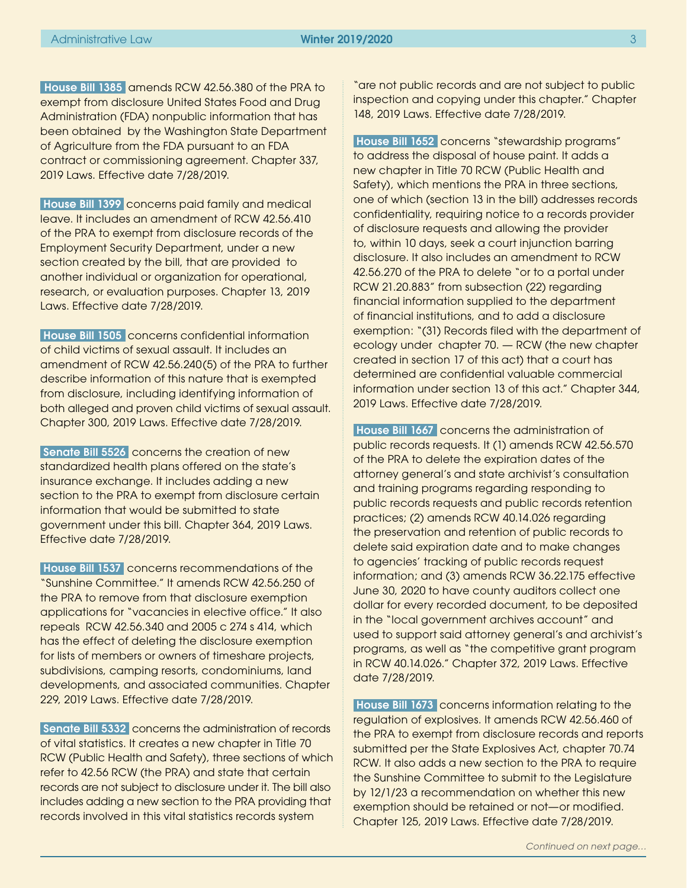<span id="page-2-0"></span>House Bill 1385 amends RCW 42.56.380 of the PRA to exempt from disclosure United States Food and Drug Administration (FDA) nonpublic information that has been obtained by the Washington State Department of Agriculture from the FDA pursuant to an FDA contract or commissioning agreement. Chapter 337, 2019 Laws. Effective date 7/28/2019.

 House Bill 1399 concerns paid family and medical leave. It includes an amendment of RCW 42.56.410 of the PRA to exempt from disclosure records of the Employment Security Department, under a new section created by the bill, that are provided to another individual or organization for operational, research, or evaluation purposes. Chapter 13, 2019 Laws. Effective date 7/28/2019.

 House Bill 1505 concerns confidential information of child victims of sexual assault. It includes an amendment of RCW 42.56.240(5) of the PRA to further describe information of this nature that is exempted from disclosure, including identifying information of both alleged and proven child victims of sexual assault. Chapter 300, 2019 Laws. Effective date 7/28/2019.

Senate Bill 5526 concerns the creation of new standardized health plans offered on the state's insurance exchange. It includes adding a new section to the PRA to exempt from disclosure certain information that would be submitted to state government under this bill. Chapter 364, 2019 Laws. Effective date 7/28/2019.

 House Bill 1537 concerns recommendations of the "Sunshine Committee." It amends RCW 42.56.250 of the PRA to remove from that disclosure exemption applications for "vacancies in elective office." It also repeals RCW 42.56.340 and 2005 c 274 s 414, which has the effect of deleting the disclosure exemption for lists of members or owners of timeshare projects, subdivisions, camping resorts, condominiums, land developments, and associated communities. Chapter 229, 2019 Laws. Effective date 7/28/2019.

Senate Bill 5332 concerns the administration of records of vital statistics. It creates a new chapter in Title 70 RCW (Public Health and Safety), three sections of which refer to 42.56 RCW (the PRA) and state that certain records are not subject to disclosure under it. The bill also includes adding a new section to the PRA providing that records involved in this vital statistics records system

"are not public records and are not subject to public inspection and copying under this chapter." Chapter 148, 2019 Laws. Effective date 7/28/2019.

 House Bill 1652 concerns "stewardship programs" to address the disposal of house paint. It adds a new chapter in Title 70 RCW (Public Health and Safety), which mentions the PRA in three sections, one of which (section 13 in the bill) addresses records confidentiality, requiring notice to a records provider of disclosure requests and allowing the provider to, within 10 days, seek a court injunction barring disclosure. It also includes an amendment to RCW 42.56.270 of the PRA to delete "or to a portal under RCW 21.20.883" from subsection (22) regarding financial information supplied to the department of financial institutions, and to add a disclosure exemption: "(31) Records filed with the department of ecology under chapter 70. — RCW (the new chapter created in section 17 of this act) that a court has determined are confidential valuable commercial information under section 13 of this act." Chapter 344, 2019 Laws. Effective date 7/28/2019.

 House Bill 1667 concerns the administration of public records requests. It (1) amends RCW 42.56.570 of the PRA to delete the expiration dates of the attorney general's and state archivist's consultation and training programs regarding responding to public records requests and public records retention practices; (2) amends RCW 40.14.026 regarding the preservation and retention of public records to delete said expiration date and to make changes to agencies' tracking of public records request information; and (3) amends RCW 36.22.175 effective June 30, 2020 to have county auditors collect one dollar for every recorded document, to be deposited in the "local government archives account" and used to support said attorney general's and archivist's programs, as well as "the competitive grant program in RCW 40.14.026." Chapter 372, 2019 Laws. Effective date 7/28/2019.

 House Bill 1673 concerns information relating to the regulation of explosives. It amends RCW 42.56.460 of the PRA to exempt from disclosure records and reports submitted per the State Explosives Act, chapter 70.74 RCW. It also adds a new section to the PRA to require the Sunshine Committee to submit to the Legislature by 12/1/23 a recommendation on whether this new exemption should be retained or not—or modified. Chapter 125, 2019 Laws. Effective date 7/28/2019.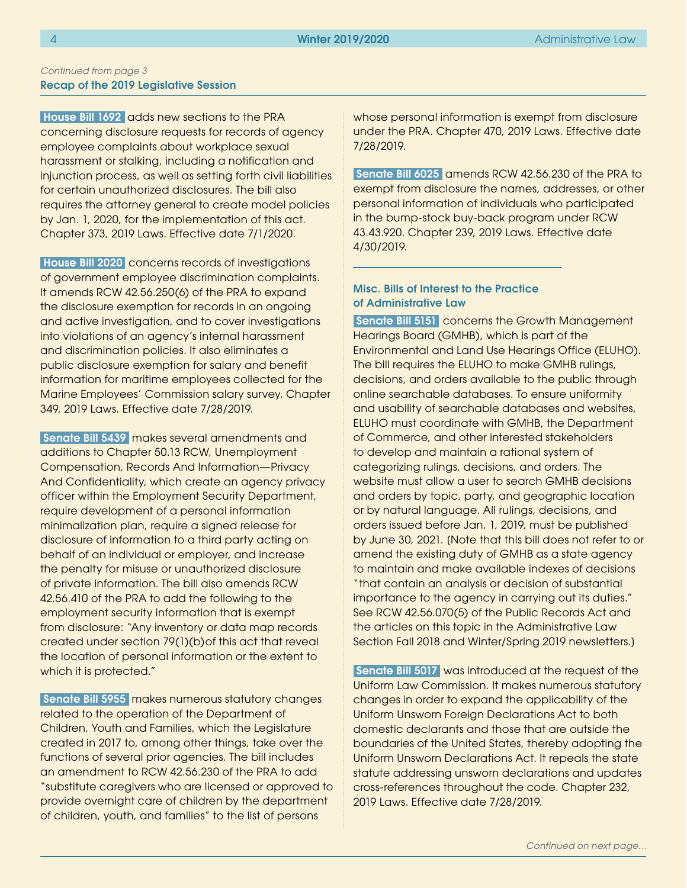#### Recap of the 2019 Legislative Session *Continued from page 3*

House Bill 1692 adds new sections to the PRA concerning disclosure requests for records of agency employee complaints about workplace sexual harassment or stalking, including a notification and injunction process, as well as setting forth civil liabilities for certain unauthorized disclosures. The bill also requires the attorney general to create model policies by Jan. 1, 2020, for the implementation of this act. Chapter 373, 2019 Laws. Effective date 7/1/2020.

 House Bill 2020 concerns records of investigations of government employee discrimination complaints. It amends RCW 42.56.250(6) of the PRA to expand the disclosure exemption for records in an ongoing and active investigation, and to cover investigations into violations of an agency's internal harassment and discrimination policies. It also eliminates a public disclosure exemption for salary and benefit information for maritime employees collected for the Marine Employees' Commission salary survey. Chapter 349, 2019 Laws. Effective date 7/28/2019.

 Senate Bill 5439 makes several amendments and additions to Chapter 50.13 RCW, Unemployment Compensation, Records And Information—Privacy And Confidentiality, which create an agency privacy officer within the Employment Security Department, require development of a personal information minimalization plan, require a signed release for disclosure of information to a third party acting on behalf of an individual or employer, and increase the penalty for misuse or unauthorized disclosure of private information. The bill also amends RCW 42.56.410 of the PRA to add the following to the employment security information that is exempt from disclosure: "Any inventory or data map records created under section 79(1)(b)of this act that reveal the location of personal information or the extent to which it is protected."

 Senate Bill 5955 makes numerous statutory changes related to the operation of the Department of Children, Youth and Families, which the Legislature created in 2017 to, among other things, take over the functions of several prior agencies. The bill includes an amendment to RCW 42.56.230 of the PRA to add "substitute caregivers who are licensed or approved to provide overnight care of children by the department of children, youth, and families" to the list of persons

whose personal information is exempt from disclosure under the PRA. Chapter 470, 2019 Laws. Effective date 7/28/2019.

Senate Bill 6025 amends RCW 42.56.230 of the PRA to exempt from disclosure the names, addresses, or other personal information of individuals who participated in the bump-stock buy-back program under RCW 43.43.920. Chapter 239, 2019 Laws. Effective date 4/30/2019.

# Misc. Bills of Interest to the Practice of Administrative Law

Senate Bill 5151 concerns the Growth Management Hearings Board (GMHB), which is part of the Environmental and Land Use Hearings Office (ELUHO). The bill requires the ELUHO to make GMHB rulings, decisions, and orders available to the public through online searchable databases. To ensure uniformity and usability of searchable databases and websites, ELUHO must coordinate with GMHB, the Department of Commerce, and other interested stakeholders to develop and maintain a rational system of categorizing rulings, decisions, and orders. The website must allow a user to search GMHB decisions and orders by topic, party, and geographic location or by natural language. All rulings, decisions, and orders issued before Jan. 1, 2019, must be published by June 30, 2021. [Note that this bill does not refer to or amend the existing duty of GMHB as a state agency to maintain and make available indexes of decisions "that contain an analysis or decision of substantial importance to the agency in carrying out its duties." See RCW 42.56.070(5) of the Public Records Act and the articles on this topic in the Administrative Law Section Fall 2018 and Winter/Spring 2019 newsletters.]

 Senate Bill 5017 was introduced at the request of the Uniform Law Commission. It makes numerous statutory changes in order to expand the applicability of the Uniform Unsworn Foreign Declarations Act to both domestic declarants and those that are outside the boundaries of the United States, thereby adopting the Uniform Unsworn Declarations Act. It repeals the state statute addressing unsworn declarations and updates cross-references throughout the code. Chapter 232, 2019 Laws. Effective date 7/28/2019.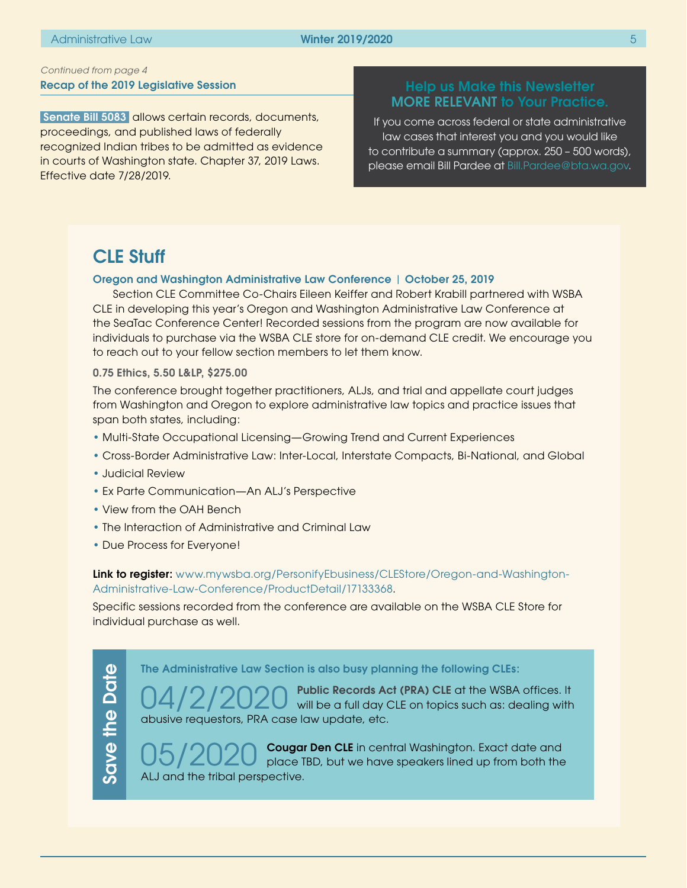## <span id="page-4-0"></span>Recap of the 2019 Legislative Session *Continued from page 4*

Senate Bill 5083 allows certain records, documents, proceedings, and published laws of federally recognized Indian tribes to be admitted as evidence in courts of Washington state. Chapter 37, 2019 Laws. Effective date 7/28/2019.

# MORE RELEVANT to Your Practice.

If you come across federal or state administrative law cases that interest you and you would like to contribute a summary (approx. 250 – 500 words), please email Bill Pardee at [Bill.Pardee@bta.wa.gov](mailto:Bill.Pardee%40bta.wa.gov?subject=).

# CLE Stuff

## Oregon and Washington Administrative Law Conference | October 25, 2019

Section CLE Committee Co-Chairs Eileen Keiffer and Robert Krabill partnered with WSBA CLE in developing this year's Oregon and Washington Administrative Law Conference at the SeaTac Conference Center! Recorded sessions from the program are now available for individuals to purchase via the WSBA CLE store for on-demand CLE credit. We encourage you to reach out to your fellow section members to let them know.

0.75 Ethics, 5.50 L&LP, \$275.00

The conference brought together practitioners, ALJs, and trial and appellate court judges from Washington and Oregon to explore administrative law topics and practice issues that span both states, including:

- Multi-State Occupational Licensing—Growing Trend and Current Experiences
- Cross-Border Administrative Law: Inter-Local, Interstate Compacts, Bi-National, and Global
- Judicial Review
- Ex Parte Communication—An ALJ's Perspective
- View from the OAH Bench
- The Interaction of Administrative and Criminal Law
- Due Process for Everyone!

Link to register: [www.mywsba.org/PersonifyEbusiness/CLEStore/Oregon-and-Washington-](https://www.mywsba.org/PersonifyEbusiness/CLEStore/Oregon-and-Washington-Administrative-Law-Conference/ProductDetail/17133368)[Administrative-Law-Conference/ProductDetail/17133368](https://www.mywsba.org/PersonifyEbusiness/CLEStore/Oregon-and-Washington-Administrative-Law-Conference/ProductDetail/17133368).

Specific sessions recorded from the conference are available on the WSBA CLE Store for individual purchase as well.

The Administrative Law Section is also busy planning the following CLEs:

04/2/2020 Public Records Act (PRA) CLE at the WSBA offices. It will be a full day CLE on topics such as: dealing with abusive requestors, PRA case law update, etc.

05/2020 Cougar Den CLE in central Washington. Exact date and<br>exact date and place TBD, but we have speakers lined up from both the ALJ and the tribal perspective.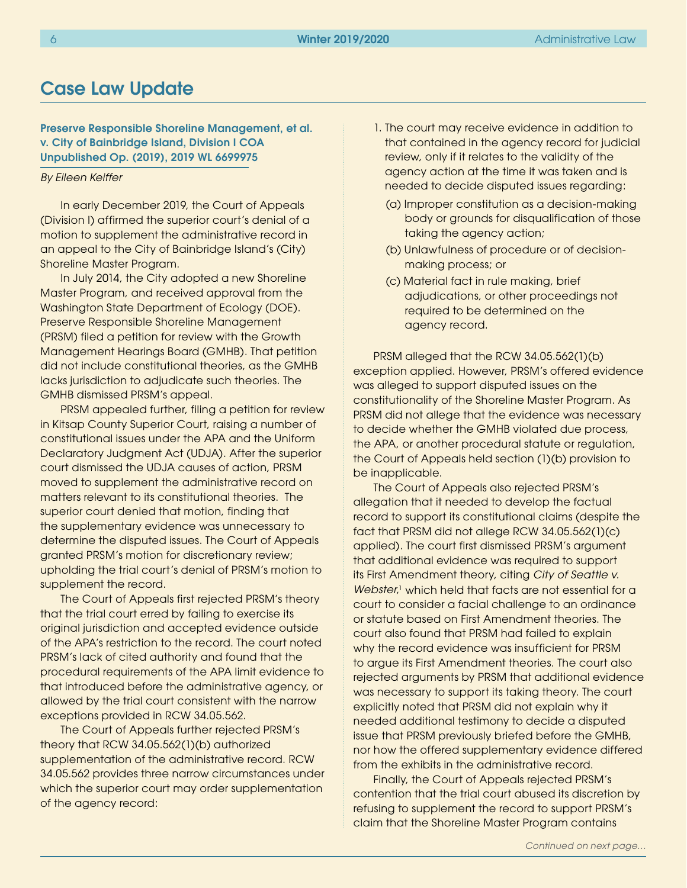# <span id="page-5-0"></span>Case Law Update

Preserve Responsible Shoreline Management, et al. v. City of Bainbridge Island, Division I COA Unpublished Op. (2019), 2019 WL 6699975

#### *By Eileen Keiffer*

In early December 2019, the Court of Appeals (Division I) affirmed the superior court's denial of a motion to supplement the administrative record in an appeal to the City of Bainbridge Island's (City) Shoreline Master Program.

In July 2014, the City adopted a new Shoreline Master Program, and received approval from the Washington State Department of Ecology (DOE). Preserve Responsible Shoreline Management (PRSM) filed a petition for review with the Growth Management Hearings Board (GMHB). That petition did not include constitutional theories, as the GMHB lacks jurisdiction to adjudicate such theories. The GMHB dismissed PRSM's appeal.

PRSM appealed further, filing a petition for review in Kitsap County Superior Court, raising a number of constitutional issues under the APA and the Uniform Declaratory Judgment Act (UDJA). After the superior court dismissed the UDJA causes of action, PRSM moved to supplement the administrative record on matters relevant to its constitutional theories. The superior court denied that motion, finding that the supplementary evidence was unnecessary to determine the disputed issues. The Court of Appeals granted PRSM's motion for discretionary review; upholding the trial court's denial of PRSM's motion to supplement the record.

The Court of Appeals first rejected PRSM's theory that the trial court erred by failing to exercise its original jurisdiction and accepted evidence outside of the APA's restriction to the record. The court noted PRSM's lack of cited authority and found that the procedural requirements of the APA limit evidence to that introduced before the administrative agency, or allowed by the trial court consistent with the narrow exceptions provided in RCW 34.05.562.

The Court of Appeals further rejected PRSM's theory that RCW 34.05.562(1)(b) authorized supplementation of the administrative record. RCW 34.05.562 provides three narrow circumstances under which the superior court may order supplementation of the agency record:

- 1. The court may receive evidence in addition to that contained in the agency record for judicial review, only if it relates to the validity of the agency action at the time it was taken and is needed to decide disputed issues regarding:
	- (a) Improper constitution as a decision-making body or grounds for disqualification of those taking the agency action;
	- (b) Unlawfulness of procedure or of decision making process; or
	- (c) Material fact in rule making, brief adjudications, or other proceedings not required to be determined on the agency record.

PRSM alleged that the RCW 34.05.562(1)(b) exception applied. However, PRSM's offered evidence was alleged to support disputed issues on the constitutionality of the Shoreline Master Program. As PRSM did not allege that the evidence was necessary to decide whether the GMHB violated due process, the APA, or another procedural statute or regulation, the Court of Appeals held section (1)(b) provision to be inapplicable.

The Court of Appeals also rejected PRSM's allegation that it needed to develop the factual record to support its constitutional claims (despite the fact that PRSM did not allege RCW 34.05.562(1)(c) applied). The court first dismissed PRSM's argument that additional evidence was required to support its First Amendment theory, citing *City of Seattle v.*  Webster,<sup>1</sup> which held that facts are not essential for a court to consider a facial challenge to an ordinance or statute based on First Amendment theories. The court also found that PRSM had failed to explain why the record evidence was insufficient for PRSM to argue its First Amendment theories. The court also rejected arguments by PRSM that additional evidence was necessary to support its taking theory. The court explicitly noted that PRSM did not explain why it needed additional testimony to decide a disputed issue that PRSM previously briefed before the GMHB, nor how the offered supplementary evidence differed from the exhibits in the administrative record.

Finally, the Court of Appeals rejected PRSM's contention that the trial court abused its discretion by refusing to supplement the record to support PRSM's claim that the Shoreline Master Program contains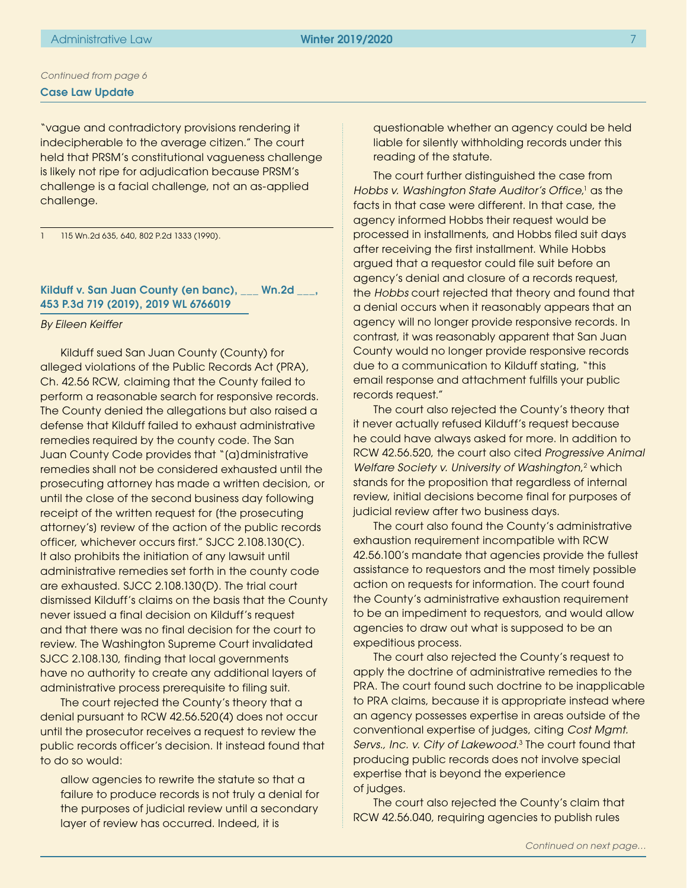"vague and contradictory provisions rendering it indecipherable to the average citizen." The court held that PRSM's constitutional vagueness challenge is likely not ripe for adjudication because PRSM's challenge is a facial challenge, not an as-applied challenge.

1 115 Wn.2d 635, 640, 802 P.2d 1333 (1990).

# Kilduff v. San Juan County (en banc), \_\_\_ Wn.2d \_\_\_, 453 P.3d 719 (2019), 2019 WL 6766019

#### *By Eileen Keiffer*

Kilduff sued San Juan County (County) for alleged violations of the Public Records Act (PRA), Ch. 42.56 RCW, claiming that the County failed to perform a reasonable search for responsive records. The County denied the allegations but also raised a defense that Kilduff failed to exhaust administrative remedies required by the county code. The San Juan County Code provides that "[a]dministrative remedies shall not be considered exhausted until the prosecuting attorney has made a written decision, or until the close of the second business day following receipt of the written request for [the prosecuting attorney's] review of the action of the public records officer, whichever occurs first." SJCC 2.108.130(C). It also prohibits the initiation of any lawsuit until administrative remedies set forth in the county code are exhausted. SJCC 2.108.130(D). The trial court dismissed Kilduff's claims on the basis that the County never issued a final decision on Kilduff's request and that there was no final decision for the court to review. The Washington Supreme Court invalidated SJCC 2.108.130, finding that local governments have no authority to create any additional layers of administrative process prerequisite to filing suit.

The court rejected the County's theory that a denial pursuant to RCW 42.56.520(4) does not occur until the prosecutor receives a request to review the public records officer's decision. It instead found that to do so would:

allow agencies to rewrite the statute so that a failure to produce records is not truly a denial for the purposes of judicial review until a secondary layer of review has occurred. Indeed, it is

questionable whether an agency could be held liable for silently withholding records under this reading of the statute.

The court further distinguished the case from Hobbs v. Washington State Auditor's Office,<sup>1</sup> as the facts in that case were different. In that case, the agency informed Hobbs their request would be processed in installments, and Hobbs filed suit days after receiving the first installment. While Hobbs argued that a requestor could file suit before an agency's denial and closure of a records request, the *Hobbs* court rejected that theory and found that a denial occurs when it reasonably appears that an agency will no longer provide responsive records. In contrast, it was reasonably apparent that San Juan County would no longer provide responsive records due to a communication to Kilduff stating, "this email response and attachment fulfills your public records request."

The court also rejected the County's theory that it never actually refused Kilduff's request because he could have always asked for more. In addition to RCW 42.56.520, the court also cited *Progressive Animal*  Welfare Society v. University of Washington,<sup>2</sup> which stands for the proposition that regardless of internal review, initial decisions become final for purposes of judicial review after two business days.

The court also found the County's administrative exhaustion requirement incompatible with RCW 42.56.100's mandate that agencies provide the fullest assistance to requestors and the most timely possible action on requests for information. The court found the County's administrative exhaustion requirement to be an impediment to requestors, and would allow agencies to draw out what is supposed to be an expeditious process.

The court also rejected the County's request to apply the doctrine of administrative remedies to the PRA. The court found such doctrine to be inapplicable to PRA claims, because it is appropriate instead where an agency possesses expertise in areas outside of the conventional expertise of judges, citing *Cost Mgmt. Servs., Inc. v. City of Lakewood*. 3 The court found that producing public records does not involve special expertise that is beyond the experience of judges.

The court also rejected the County's claim that RCW 42.56.040, requiring agencies to publish rules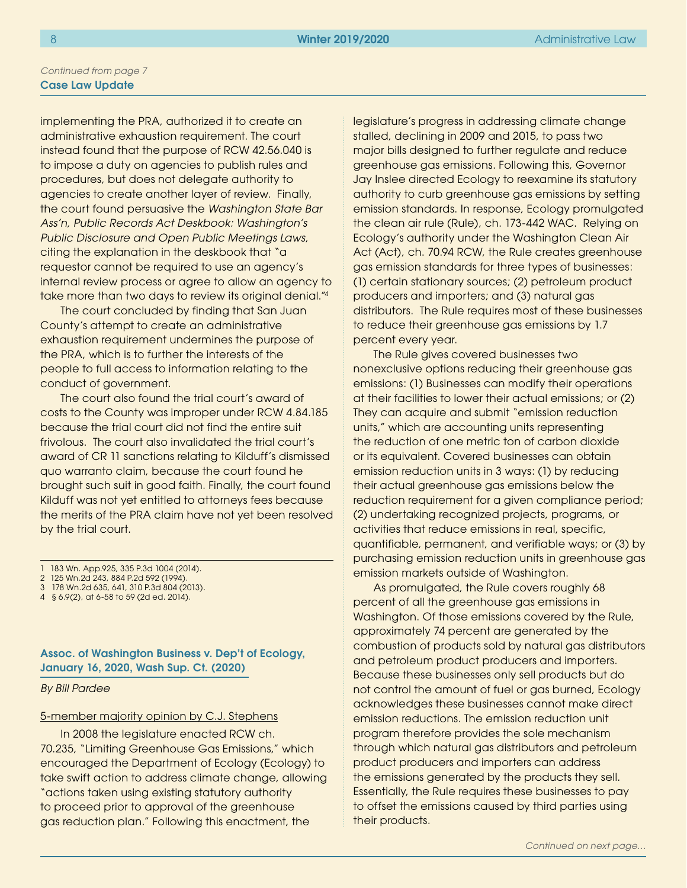implementing the PRA, authorized it to create an administrative exhaustion requirement. The court instead found that the purpose of RCW 42.56.040 is to impose a duty on agencies to publish rules and procedures, but does not delegate authority to agencies to create another layer of review. Finally, the court found persuasive the *Washington State Bar Ass'n, Public Records Act Deskbook: Washington's Public Disclosure and Open Public Meetings Laws*, citing the explanation in the deskbook that "a requestor cannot be required to use an agency's internal review process or agree to allow an agency to take more than two days to review its original denial."4

The court concluded by finding that San Juan County's attempt to create an administrative exhaustion requirement undermines the purpose of the PRA, which is to further the interests of the people to full access to information relating to the conduct of government.

The court also found the trial court's award of costs to the County was improper under RCW 4.84.185 because the trial court did not find the entire suit frivolous. The court also invalidated the trial court's award of CR 11 sanctions relating to Kilduff's dismissed quo warranto claim, because the court found he brought such suit in good faith. Finally, the court found Kilduff was not yet entitled to attorneys fees because the merits of the PRA claim have not yet been resolved by the trial court.

- 3 178 Wn.2d 635, 641, 310 P.3d 804 (2013).
- 4 § 6.9(2), at 6-58 to 59 (2d ed. 2014).

Assoc. of Washington Business v. Dep't of Ecology, January 16, 2020, Wash Sup. Ct. (2020)

*By Bill Pardee*

#### 5-member majority opinion by C.J. Stephens

In 2008 the legislature enacted RCW ch. 70.235, "Limiting Greenhouse Gas Emissions," which encouraged the Department of Ecology (Ecology) to take swift action to address climate change, allowing "actions taken using existing statutory authority to proceed prior to approval of the greenhouse gas reduction plan." Following this enactment, the

legislature's progress in addressing climate change stalled, declining in 2009 and 2015, to pass two major bills designed to further regulate and reduce greenhouse gas emissions. Following this, Governor Jay Inslee directed Ecology to reexamine its statutory authority to curb greenhouse gas emissions by setting emission standards. In response, Ecology promulgated the clean air rule (Rule), ch. 173-442 WAC. Relying on Ecology's authority under the Washington Clean Air Act (Act), ch. 70.94 RCW, the Rule creates greenhouse gas emission standards for three types of businesses: (1) certain stationary sources; (2) petroleum product producers and importers; and (3) natural gas distributors. The Rule requires most of these businesses to reduce their greenhouse gas emissions by 1.7 percent every year.

The Rule gives covered businesses two nonexclusive options reducing their greenhouse gas emissions: (1) Businesses can modify their operations at their facilities to lower their actual emissions; or (2) They can acquire and submit "emission reduction units," which are accounting units representing the reduction of one metric ton of carbon dioxide or its equivalent. Covered businesses can obtain emission reduction units in 3 ways: (1) by reducing their actual greenhouse gas emissions below the reduction requirement for a given compliance period; (2) undertaking recognized projects, programs, or activities that reduce emissions in real, specific, quantifiable, permanent, and verifiable ways; or (3) by purchasing emission reduction units in greenhouse gas emission markets outside of Washington.

As promulgated, the Rule covers roughly 68 percent of all the greenhouse gas emissions in Washington. Of those emissions covered by the Rule, approximately 74 percent are generated by the combustion of products sold by natural gas distributors and petroleum product producers and importers. Because these businesses only sell products but do not control the amount of fuel or gas burned, Ecology acknowledges these businesses cannot make direct emission reductions. The emission reduction unit program therefore provides the sole mechanism through which natural gas distributors and petroleum product producers and importers can address the emissions generated by the products they sell. Essentially, the Rule requires these businesses to pay to offset the emissions caused by third parties using their products.

<sup>1</sup> 183 Wn. App.925, 335 P.3d 1004 (2014).

<sup>2</sup> 125 Wn.2d 243, 884 P.2d 592 (1994).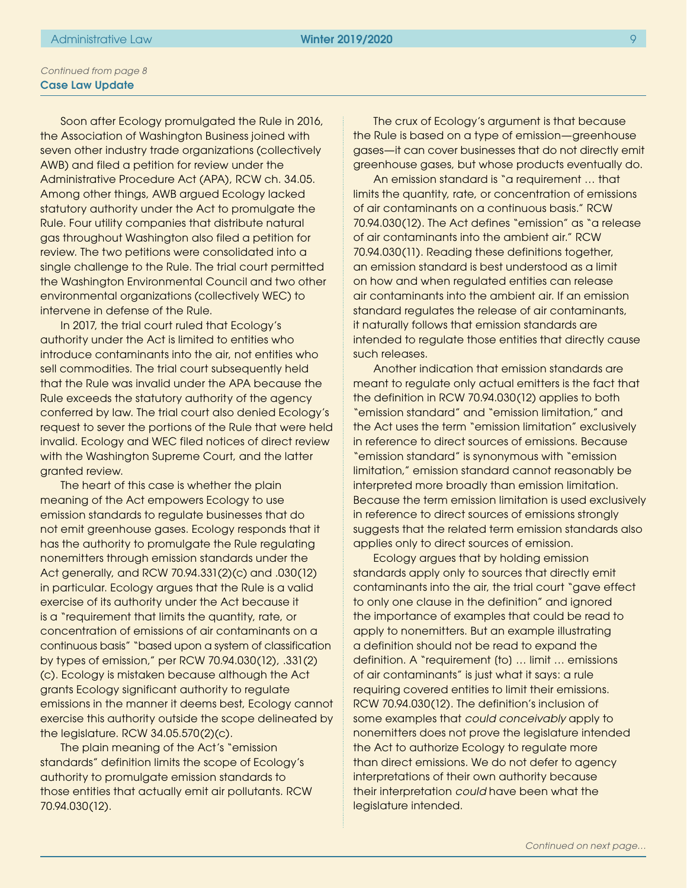Soon after Ecology promulgated the Rule in 2016, the Association of Washington Business joined with seven other industry trade organizations (collectively AWB) and filed a petition for review under the Administrative Procedure Act (APA), RCW ch. 34.05. Among other things, AWB argued Ecology lacked statutory authority under the Act to promulgate the Rule. Four utility companies that distribute natural gas throughout Washington also filed a petition for review. The two petitions were consolidated into a single challenge to the Rule. The trial court permitted the Washington Environmental Council and two other environmental organizations (collectively WEC) to intervene in defense of the Rule.

In 2017, the trial court ruled that Ecology's authority under the Act is limited to entities who introduce contaminants into the air, not entities who sell commodities. The trial court subsequently held that the Rule was invalid under the APA because the Rule exceeds the statutory authority of the agency conferred by law. The trial court also denied Ecology's request to sever the portions of the Rule that were held invalid. Ecology and WEC filed notices of direct review with the Washington Supreme Court, and the latter granted review.

The heart of this case is whether the plain meaning of the Act empowers Ecology to use emission standards to regulate businesses that do not emit greenhouse gases. Ecology responds that it has the authority to promulgate the Rule regulating nonemitters through emission standards under the Act generally, and RCW 70.94.331(2)(c) and .030(12) in particular. Ecology argues that the Rule is a valid exercise of its authority under the Act because it is a "requirement that limits the quantity, rate, or concentration of emissions of air contaminants on a continuous basis" "based upon a system of classification by types of emission," per RCW 70.94.030(12), .331(2) (c). Ecology is mistaken because although the Act grants Ecology significant authority to regulate emissions in the manner it deems best, Ecology cannot exercise this authority outside the scope delineated by the legislature. RCW 34.05.570(2)(c).

The plain meaning of the Act's "emission standards" definition limits the scope of Ecology's authority to promulgate emission standards to those entities that actually emit air pollutants. RCW 70.94.030(12).

The crux of Ecology's argument is that because the Rule is based on a type of emission—greenhouse gases—it can cover businesses that do not directly emit greenhouse gases, but whose products eventually do.

An emission standard is "a requirement … that limits the quantity, rate, or concentration of emissions of air contaminants on a continuous basis." RCW 70.94.030(12). The Act defines "emission" as "a release of air contaminants into the ambient air." RCW 70.94.030(11). Reading these definitions together, an emission standard is best understood as a limit on how and when regulated entities can release air contaminants into the ambient air. If an emission standard regulates the release of air contaminants, it naturally follows that emission standards are intended to regulate those entities that directly cause such releases.

Another indication that emission standards are meant to regulate only actual emitters is the fact that the definition in RCW 70.94.030(12) applies to both "emission standard" and "emission limitation," and the Act uses the term "emission limitation" exclusively in reference to direct sources of emissions. Because "emission standard" is synonymous with "emission limitation," emission standard cannot reasonably be interpreted more broadly than emission limitation. Because the term emission limitation is used exclusively in reference to direct sources of emissions strongly suggests that the related term emission standards also applies only to direct sources of emission.

Ecology argues that by holding emission standards apply only to sources that directly emit contaminants into the air, the trial court "gave effect to only one clause in the definition" and ignored the importance of examples that could be read to apply to nonemitters. But an example illustrating a definition should not be read to expand the definition. A "requirement [to] … limit … emissions of air contaminants" is just what it says: a rule requiring covered entities to limit their emissions. RCW 70.94.030(12). The definition's inclusion of some examples that *could conceivably* apply to nonemitters does not prove the legislature intended the Act to authorize Ecology to regulate more than direct emissions. We do not defer to agency interpretations of their own authority because their interpretation *could* have been what the legislature intended.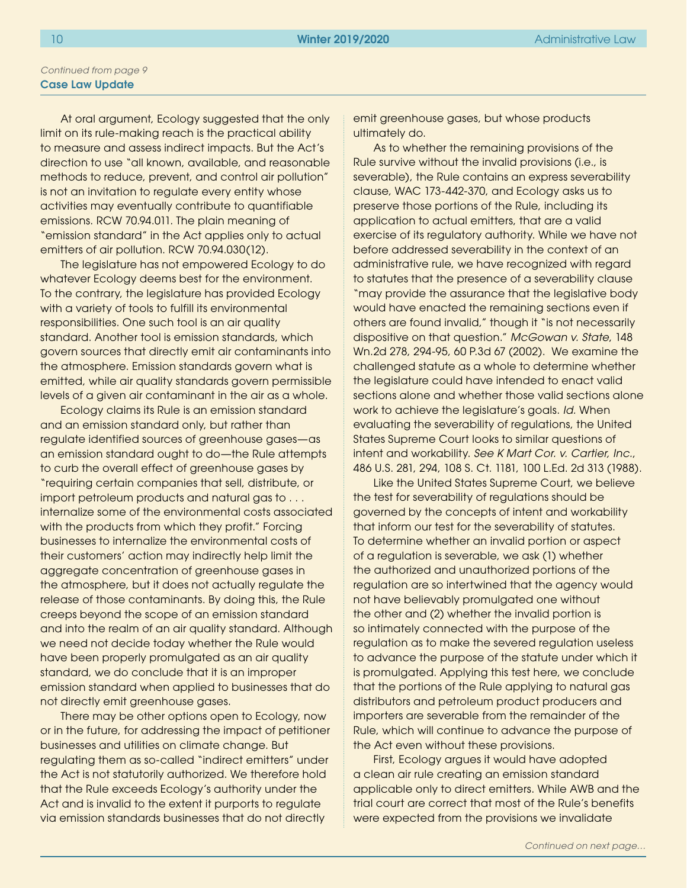At oral argument, Ecology suggested that the only limit on its rule-making reach is the practical ability to measure and assess indirect impacts. But the Act's direction to use "all known, available, and reasonable methods to reduce, prevent, and control air pollution" is not an invitation to regulate every entity whose activities may eventually contribute to quantifiable emissions. RCW 70.94.011. The plain meaning of "emission standard" in the Act applies only to actual emitters of air pollution. RCW 70.94.030(12).

The legislature has not empowered Ecology to do whatever Ecology deems best for the environment. To the contrary, the legislature has provided Ecology with a variety of tools to fulfill its environmental responsibilities. One such tool is an air quality standard. Another tool is emission standards, which govern sources that directly emit air contaminants into the atmosphere. Emission standards govern what is emitted, while air quality standards govern permissible levels of a given air contaminant in the air as a whole.

Ecology claims its Rule is an emission standard and an emission standard only, but rather than regulate identified sources of greenhouse gases—as an emission standard ought to do—the Rule attempts to curb the overall effect of greenhouse gases by "requiring certain companies that sell, distribute, or import petroleum products and natural gas to . . . internalize some of the environmental costs associated with the products from which they profit." Forcing businesses to internalize the environmental costs of their customers' action may indirectly help limit the aggregate concentration of greenhouse gases in the atmosphere, but it does not actually regulate the release of those contaminants. By doing this, the Rule creeps beyond the scope of an emission standard and into the realm of an air quality standard. Although we need not decide today whether the Rule would have been properly promulgated as an air quality standard, we do conclude that it is an improper emission standard when applied to businesses that do not directly emit greenhouse gases.

There may be other options open to Ecology, now or in the future, for addressing the impact of petitioner businesses and utilities on climate change. But regulating them as so-called "indirect emitters" under the Act is not statutorily authorized. We therefore hold that the Rule exceeds Ecology's authority under the Act and is invalid to the extent it purports to regulate via emission standards businesses that do not directly

emit greenhouse gases, but whose products ultimately do.

As to whether the remaining provisions of the Rule survive without the invalid provisions (i.e., is severable), the Rule contains an express severability clause, WAC 173-442-370, and Ecology asks us to preserve those portions of the Rule, including its application to actual emitters, that are a valid exercise of its regulatory authority. While we have not before addressed severability in the context of an administrative rule, we have recognized with regard to statutes that the presence of a severability clause "may provide the assurance that the legislative body would have enacted the remaining sections even if others are found invalid," though it "is not necessarily dispositive on that question." *McGowan v. State*, 148 Wn.2d 278, 294-95, 60 P.3d 67 (2002). We examine the challenged statute as a whole to determine whether the legislature could have intended to enact valid sections alone and whether those valid sections alone work to achieve the legislature's goals. *Id.* When evaluating the severability of regulations, the United States Supreme Court looks to similar questions of intent and workability. *See K Mart Cor. v. Cartier, Inc.*, 486 U.S. 281, 294, 108 S. Ct. 1181, 100 L.Ed. 2d 313 (1988).

Like the United States Supreme Court, we believe the test for severability of regulations should be governed by the concepts of intent and workability that inform our test for the severability of statutes. To determine whether an invalid portion or aspect of a regulation is severable, we ask (1) whether the authorized and unauthorized portions of the regulation are so intertwined that the agency would not have believably promulgated one without the other and (2) whether the invalid portion is so intimately connected with the purpose of the regulation as to make the severed regulation useless to advance the purpose of the statute under which it is promulgated. Applying this test here, we conclude that the portions of the Rule applying to natural gas distributors and petroleum product producers and importers are severable from the remainder of the Rule, which will continue to advance the purpose of the Act even without these provisions.

First, Ecology argues it would have adopted a clean air rule creating an emission standard applicable only to direct emitters. While AWB and the trial court are correct that most of the Rule's benefits were expected from the provisions we invalidate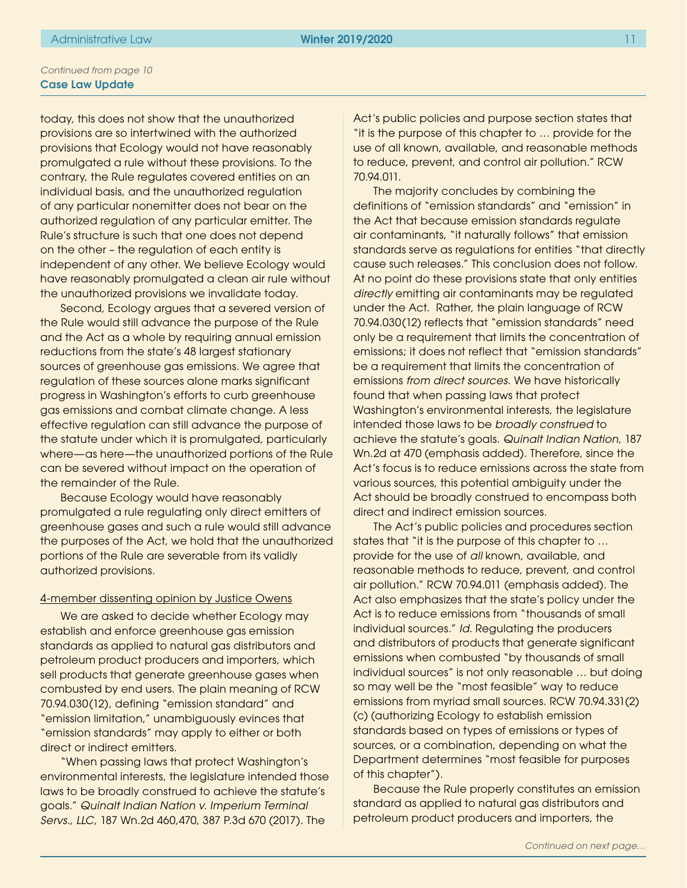today, this does not show that the unauthorized provisions are so intertwined with the authorized provisions that Ecology would not have reasonably promulgated a rule without these provisions. To the contrary, the Rule regulates covered entities on an individual basis, and the unauthorized regulation of any particular nonemitter does not bear on the authorized regulation of any particular emitter. The Rule's structure is such that one does not depend on the other – the regulation of each entity is independent of any other. We believe Ecology would have reasonably promulgated a clean air rule without the unauthorized provisions we invalidate today.

Second, Ecology argues that a severed version of the Rule would still advance the purpose of the Rule and the Act as a whole by requiring annual emission reductions from the state's 48 largest stationary sources of greenhouse gas emissions. We agree that regulation of these sources alone marks significant progress in Washington's efforts to curb greenhouse gas emissions and combat climate change. A less effective regulation can still advance the purpose of the statute under which it is promulgated, particularly where—as here—the unauthorized portions of the Rule can be severed without impact on the operation of the remainder of the Rule.

Because Ecology would have reasonably promulgated a rule regulating only direct emitters of greenhouse gases and such a rule would still advance the purposes of the Act, we hold that the unauthorized portions of the Rule are severable from its validly authorized provisions.

### 4-member dissenting opinion by Justice Owens

We are asked to decide whether Ecology may establish and enforce greenhouse gas emission standards as applied to natural gas distributors and petroleum product producers and importers, which sell products that generate greenhouse gases when combusted by end users. The plain meaning of RCW 70.94.030(12), defining "emission standard" and "emission limitation," unambiguously evinces that "emission standards" may apply to either or both direct or indirect emitters.

"When passing laws that protect Washington's environmental interests, the legislature intended those laws to be broadly construed to achieve the statute's goals." *Quinalt Indian Nation v. Imperium Terminal Servs., LLC*, 187 Wn.2d 460,470, 387 P.3d 670 (2017). The

Act's public policies and purpose section states that "it is the purpose of this chapter to … provide for the use of all known, available, and reasonable methods to reduce, prevent, and control air pollution." RCW 70.94.011.

The majority concludes by combining the definitions of "emission standards" and "emission" in the Act that because emission standards regulate air contaminants, "it naturally follows" that emission standards serve as regulations for entities "that directly cause such releases." This conclusion does not follow. At no point do these provisions state that only entities *directly* emitting air contaminants may be regulated under the Act. Rather, the plain language of RCW 70.94.030(12) reflects that "emission standards" need only be a requirement that limits the concentration of emissions; it does not reflect that "emission standards" be a requirement that limits the concentration of emissions *from direct sources*. We have historically found that when passing laws that protect Washington's environmental interests, the legislature intended those laws to be *broadly construed* to achieve the statute's goals. *Quinalt Indian Nation*, 187 Wn.2d at 470 (emphasis added). Therefore, since the Act's focus is to reduce emissions across the state from various sources, this potential ambiguity under the Act should be broadly construed to encompass both direct and indirect emission sources.

The Act's public policies and procedures section states that "it is the purpose of this chapter to … provide for the use of *all* known, available, and reasonable methods to reduce, prevent, and control air pollution." RCW 70.94.011 (emphasis added). The Act also emphasizes that the state's policy under the Act is to reduce emissions from "thousands of small individual sources." *Id.* Regulating the producers and distributors of products that generate significant emissions when combusted "by thousands of small individual sources" is not only reasonable … but doing so may well be the "most feasible" way to reduce emissions from myriad small sources. RCW 70.94.331(2) (c) (authorizing Ecology to establish emission standards based on types of emissions or types of sources, or a combination, depending on what the Department determines "most feasible for purposes of this chapter").

Because the Rule properly constitutes an emission standard as applied to natural gas distributors and petroleum product producers and importers, the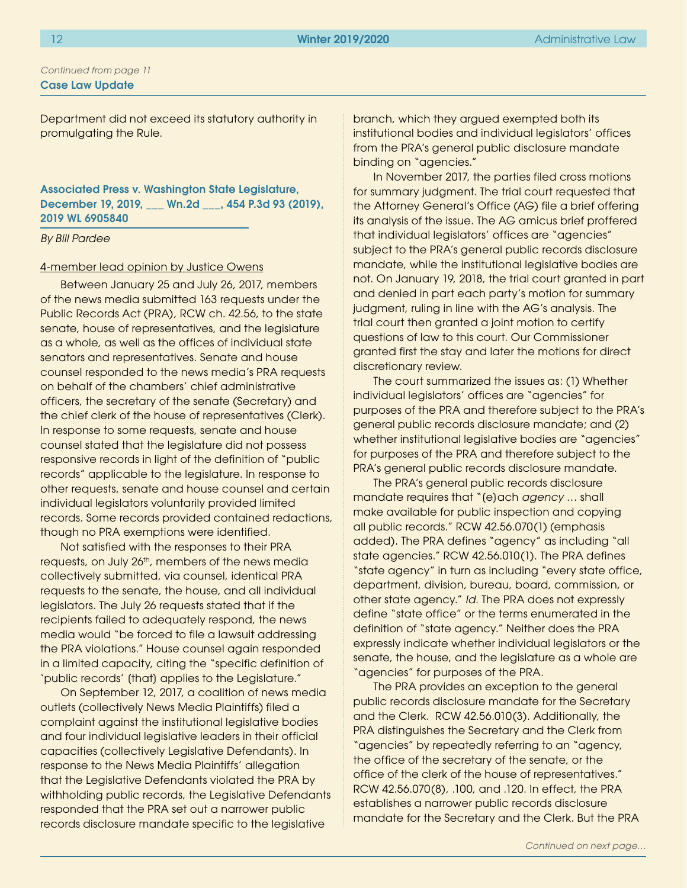Department did not exceed its statutory authority in promulgating the Rule.

## Associated Press v. Washington State Legislature, December 19, 2019, \_\_\_ Wn.2d \_\_\_, 454 P.3d 93 (2019), 2019 WL 6905840

#### *By Bill Pardee*

#### 4-member lead opinion by Justice Owens

Between January 25 and July 26, 2017, members of the news media submitted 163 requests under the Public Records Act (PRA), RCW ch. 42.56, to the state senate, house of representatives, and the legislature as a whole, as well as the offices of individual state senators and representatives. Senate and house counsel responded to the news media's PRA requests on behalf of the chambers' chief administrative officers, the secretary of the senate (Secretary) and the chief clerk of the house of representatives (Clerk). In response to some requests, senate and house counsel stated that the legislature did not possess responsive records in light of the definition of "public records" applicable to the legislature. In response to other requests, senate and house counsel and certain individual legislators voluntarily provided limited records. Some records provided contained redactions, though no PRA exemptions were identified.

Not satisfied with the responses to their PRA requests, on July 26<sup>th</sup>, members of the news media collectively submitted, via counsel, identical PRA requests to the senate, the house, and all individual legislators. The July 26 requests stated that if the recipients failed to adequately respond, the news media would "be forced to file a lawsuit addressing the PRA violations." House counsel again responded in a limited capacity, citing the "specific definition of 'public records' [that] applies to the Legislature."

On September 12, 2017, a coalition of news media outlets (collectively News Media Plaintiffs) filed a complaint against the institutional legislative bodies and four individual legislative leaders in their official capacities (collectively Legislative Defendants). In response to the News Media Plaintiffs' allegation that the Legislative Defendants violated the PRA by withholding public records, the Legislative Defendants responded that the PRA set out a narrower public records disclosure mandate specific to the legislative

branch, which they argued exempted both its institutional bodies and individual legislators' offices from the PRA's general public disclosure mandate binding on "agencies."

In November 2017, the parties filed cross motions for summary judgment. The trial court requested that the Attorney General's Office (AG) file a brief offering its analysis of the issue. The AG amicus brief proffered that individual legislators' offices are "agencies" subject to the PRA's general public records disclosure mandate, while the institutional legislative bodies are not. On January 19, 2018, the trial court granted in part and denied in part each party's motion for summary judgment, ruling in line with the AG's analysis. The trial court then granted a joint motion to certify questions of law to this court. Our Commissioner granted first the stay and later the motions for direct discretionary review.

The court summarized the issues as: (1) Whether individual legislators' offices are "agencies" for purposes of the PRA and therefore subject to the PRA's general public records disclosure mandate; and (2) whether institutional legislative bodies are "agencies" for purposes of the PRA and therefore subject to the PRA's general public records disclosure mandate.

The PRA's general public records disclosure mandate requires that "[e]ach *agency* … shall make available for public inspection and copying all public records." RCW 42.56.070(1) (emphasis added). The PRA defines "agency" as including "all state agencies." RCW 42.56.010(1). The PRA defines "state agency" in turn as including "every state office, department, division, bureau, board, commission, or other state agency." *Id.* The PRA does not expressly define "state office" or the terms enumerated in the definition of "state agency." Neither does the PRA expressly indicate whether individual legislators or the senate, the house, and the legislature as a whole are "agencies" for purposes of the PRA.

The PRA provides an exception to the general public records disclosure mandate for the Secretary and the Clerk. RCW 42.56.010(3). Additionally, the PRA distinguishes the Secretary and the Clerk from "agencies" by repeatedly referring to an "agency, the office of the secretary of the senate, or the office of the clerk of the house of representatives." RCW 42.56.070(8), .100, and .120. In effect, the PRA establishes a narrower public records disclosure mandate for the Secretary and the Clerk. But the PRA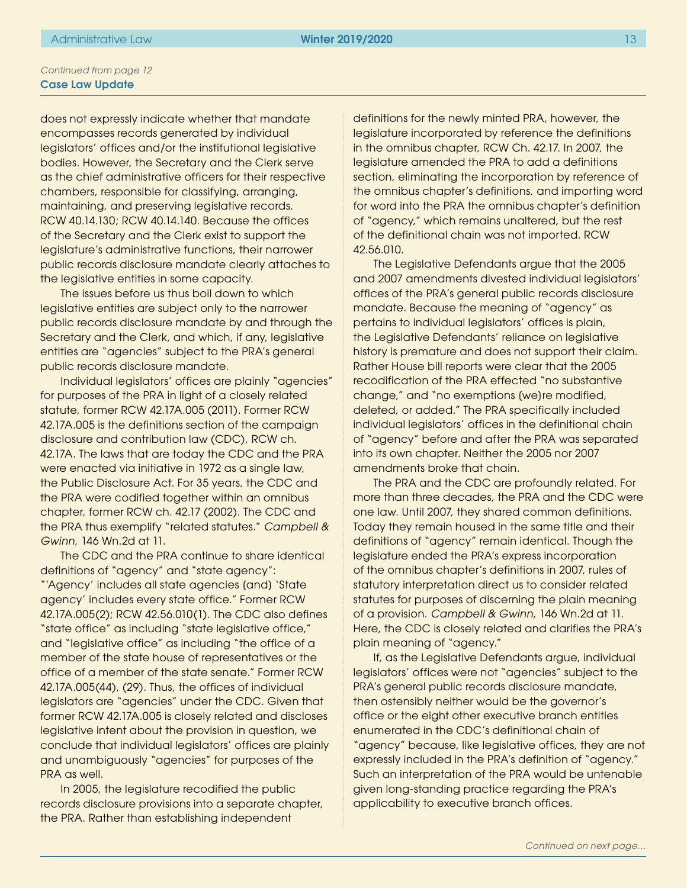does not expressly indicate whether that mandate encompasses records generated by individual legislators' offices and/or the institutional legislative bodies. However, the Secretary and the Clerk serve as the chief administrative officers for their respective chambers, responsible for classifying, arranging, maintaining, and preserving legislative records. RCW 40.14.130; RCW 40.14.140. Because the offices of the Secretary and the Clerk exist to support the legislature's administrative functions, their narrower public records disclosure mandate clearly attaches to the legislative entities in some capacity.

The issues before us thus boil down to which legislative entities are subject only to the narrower public records disclosure mandate by and through the Secretary and the Clerk, and which, if any, legislative entities are "agencies" subject to the PRA's general public records disclosure mandate.

Individual legislators' offices are plainly "agencies" for purposes of the PRA in light of a closely related statute, former RCW 42.17A.005 (2011). Former RCW 42.17A.005 is the definitions section of the campaign disclosure and contribution law (CDC), RCW ch. 42.17A. The laws that are today the CDC and the PRA were enacted via initiative in 1972 as a single law, the Public Disclosure Act. For 35 years, the CDC and the PRA were codified together within an omnibus chapter, former RCW ch. 42.17 (2002). The CDC and the PRA thus exemplify "related statutes." *Campbell & Gwinn*, 146 Wn.2d at 11.

The CDC and the PRA continue to share identical definitions of "agency" and "state agency": "'Agency' includes all state agencies (and) 'State agency' includes every state office." Former RCW 42.17A.005(2); RCW 42.56.010(1). The CDC also defines "state office" as including "state legislative office," and "legislative office" as including "the office of a member of the state house of representatives or the office of a member of the state senate." Former RCW 42.17A.005(44), (29). Thus, the offices of individual legislators are "agencies" under the CDC. Given that former RCW 42.17A.005 is closely related and discloses legislative intent about the provision in question, we conclude that individual legislators' offices are plainly and unambiguously "agencies" for purposes of the PRA as well.

In 2005, the legislature recodified the public records disclosure provisions into a separate chapter, the PRA. Rather than establishing independent

definitions for the newly minted PRA, however, the legislature incorporated by reference the definitions in the omnibus chapter, RCW Ch. 42.17. In 2007, the legislature amended the PRA to add a definitions section, eliminating the incorporation by reference of the omnibus chapter's definitions, and importing word for word into the PRA the omnibus chapter's definition of "agency," which remains unaltered, but the rest of the definitional chain was not imported. RCW 42.56.010.

The Legislative Defendants argue that the 2005 and 2007 amendments divested individual legislators' offices of the PRA's general public records disclosure mandate. Because the meaning of "agency" as pertains to individual legislators' offices is plain, the Legislative Defendants' reliance on legislative history is premature and does not support their claim. Rather House bill reports were clear that the 2005 recodification of the PRA effected "no substantive change," and "no exemptions [we]re modified, deleted, or added." The PRA specifically included individual legislators' offices in the definitional chain of "agency" before and after the PRA was separated into its own chapter. Neither the 2005 nor 2007 amendments broke that chain.

The PRA and the CDC are profoundly related. For more than three decades, the PRA and the CDC were one law. Until 2007, they shared common definitions. Today they remain housed in the same title and their definitions of "agency" remain identical. Though the legislature ended the PRA's express incorporation of the omnibus chapter's definitions in 2007, rules of statutory interpretation direct us to consider related statutes for purposes of discerning the plain meaning of a provision. *Campbell & Gwinn*, 146 Wn.2d at 11. Here, the CDC is closely related and clarifies the PRA's plain meaning of "agency."

If, as the Legislative Defendants argue, individual legislators' offices were not "agencies" subject to the PRA's general public records disclosure mandate, then ostensibly neither would be the governor's office or the eight other executive branch entities enumerated in the CDC's definitional chain of "agency" because, like legislative offices, they are not expressly included in the PRA's definition of "agency." Such an interpretation of the PRA would be untenable given long-standing practice regarding the PRA's applicability to executive branch offices.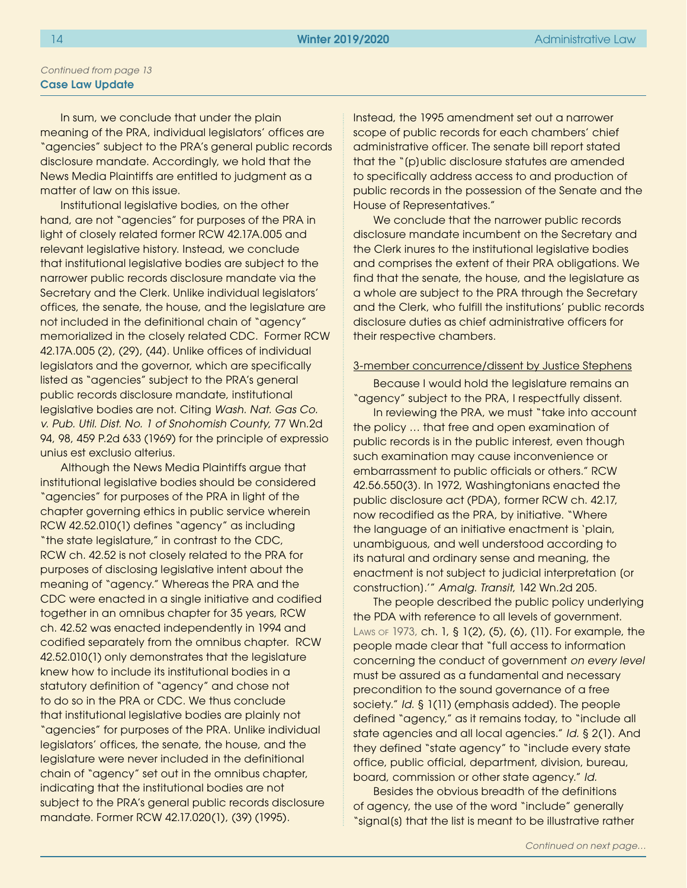In sum, we conclude that under the plain meaning of the PRA, individual legislators' offices are "agencies" subject to the PRA's general public records disclosure mandate. Accordingly, we hold that the News Media Plaintiffs are entitled to judgment as a matter of law on this issue.

Institutional legislative bodies, on the other hand, are not "agencies" for purposes of the PRA in light of closely related former RCW 42.17A.005 and relevant legislative history. Instead, we conclude that institutional legislative bodies are subject to the narrower public records disclosure mandate via the Secretary and the Clerk. Unlike individual legislators' offices, the senate, the house, and the legislature are not included in the definitional chain of "agency" memorialized in the closely related CDC. Former RCW 42.17A.005 (2), (29), (44). Unlike offices of individual legislators and the governor, which are specifically listed as "agencies" subject to the PRA's general public records disclosure mandate, institutional legislative bodies are not. Citing *Wash. Nat. Gas Co. v. Pub. Util. Dist. No. 1 of Snohomish County*, 77 Wn.2d 94, 98, 459 P.2d 633 (1969) for the principle of expressio unius est exclusio alterius.

Although the News Media Plaintiffs argue that institutional legislative bodies should be considered "agencies" for purposes of the PRA in light of the chapter governing ethics in public service wherein RCW 42.52.010(1) defines "agency" as including "the state legislature," in contrast to the CDC, RCW ch. 42.52 is not closely related to the PRA for purposes of disclosing legislative intent about the meaning of "agency." Whereas the PRA and the CDC were enacted in a single initiative and codified together in an omnibus chapter for 35 years, RCW ch. 42.52 was enacted independently in 1994 and codified separately from the omnibus chapter. RCW 42.52.010(1) only demonstrates that the legislature knew how to include its institutional bodies in a statutory definition of "agency" and chose not to do so in the PRA or CDC. We thus conclude that institutional legislative bodies are plainly not "agencies" for purposes of the PRA. Unlike individual legislators' offices, the senate, the house, and the legislature were never included in the definitional chain of "agency" set out in the omnibus chapter, indicating that the institutional bodies are not subject to the PRA's general public records disclosure mandate. Former RCW 42.17.020(1), (39) (1995).

Instead, the 1995 amendment set out a narrower scope of public records for each chambers' chief administrative officer. The senate bill report stated that the "[p]ublic disclosure statutes are amended to specifically address access to and production of public records in the possession of the Senate and the House of Representatives."

We conclude that the narrower public records disclosure mandate incumbent on the Secretary and the Clerk inures to the institutional legislative bodies and comprises the extent of their PRA obligations. We find that the senate, the house, and the legislature as a whole are subject to the PRA through the Secretary and the Clerk, who fulfill the institutions' public records disclosure duties as chief administrative officers for their respective chambers.

#### 3-member concurrence/dissent by Justice Stephens

Because I would hold the legislature remains an "agency" subject to the PRA, I respectfully dissent.

In reviewing the PRA, we must "take into account the policy … that free and open examination of public records is in the public interest, even though such examination may cause inconvenience or embarrassment to public officials or others." RCW 42.56.550(3). In 1972, Washingtonians enacted the public disclosure act (PDA), former RCW ch. 42.17, now recodified as the PRA, by initiative. "Where the language of an initiative enactment is 'plain, unambiguous, and well understood according to its natural and ordinary sense and meaning, the enactment is not subject to judicial interpretation [or construction].'" *Amalg. Transit*, 142 Wn.2d 205.

The people described the public policy underlying the PDA with reference to all levels of government. Laws of 1973, ch. 1, § 1(2), (5), (6), (11). For example, the people made clear that "full access to information concerning the conduct of government *on every level*  must be assured as a fundamental and necessary precondition to the sound governance of a free society." *Id.* § 1(11) (emphasis added). The people defined "agency," as it remains today, to "include all state agencies and all local agencies." *Id.* § 2(1). And they defined "state agency" to "include every state office, public official, department, division, bureau, board, commission or other state agency." *Id.* 

Besides the obvious breadth of the definitions of agency, the use of the word "include" generally "signal(s) that the list is meant to be illustrative rather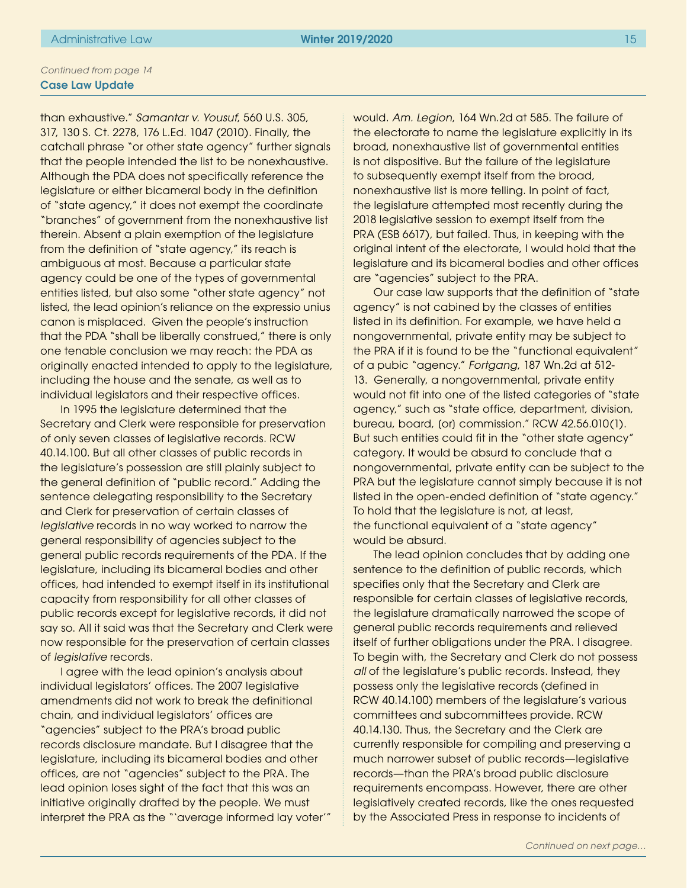than exhaustive." *Samantar v. Yousuf*, 560 U.S. 305, 317, 130 S. Ct. 2278, 176 L.Ed. 1047 (2010). Finally, the catchall phrase "or other state agency" further signals that the people intended the list to be nonexhaustive. Although the PDA does not specifically reference the legislature or either bicameral body in the definition of "state agency," it does not exempt the coordinate "branches" of government from the nonexhaustive list therein. Absent a plain exemption of the legislature from the definition of "state agency," its reach is ambiguous at most. Because a particular state agency could be one of the types of governmental entities listed, but also some "other state agency" not listed, the lead opinion's reliance on the expressio unius canon is misplaced. Given the people's instruction that the PDA "shall be liberally construed," there is only one tenable conclusion we may reach: the PDA as originally enacted intended to apply to the legislature, including the house and the senate, as well as to individual legislators and their respective offices.

In 1995 the legislature determined that the Secretary and Clerk were responsible for preservation of only seven classes of legislative records. RCW 40.14.100. But all other classes of public records in the legislature's possession are still plainly subject to the general definition of "public record." Adding the sentence delegating responsibility to the Secretary and Clerk for preservation of certain classes of *legislative* records in no way worked to narrow the general responsibility of agencies subject to the general public records requirements of the PDA. If the legislature, including its bicameral bodies and other offices, had intended to exempt itself in its institutional capacity from responsibility for all other classes of public records except for legislative records, it did not say so. All it said was that the Secretary and Clerk were now responsible for the preservation of certain classes of *legislative* records.

I agree with the lead opinion's analysis about individual legislators' offices. The 2007 legislative amendments did not work to break the definitional chain, and individual legislators' offices are "agencies" subject to the PRA's broad public records disclosure mandate. But I disagree that the legislature, including its bicameral bodies and other offices, are not "agencies" subject to the PRA. The lead opinion loses sight of the fact that this was an initiative originally drafted by the people. We must interpret the PRA as the "'average informed lay voter'" would. *Am. Legion*, 164 Wn.2d at 585. The failure of the electorate to name the legislature explicitly in its broad, nonexhaustive list of governmental entities is not dispositive. But the failure of the legislature to subsequently exempt itself from the broad, nonexhaustive list is more telling. In point of fact, the legislature attempted most recently during the 2018 legislative session to exempt itself from the PRA (ESB 6617), but failed. Thus, in keeping with the original intent of the electorate, I would hold that the legislature and its bicameral bodies and other offices are "agencies" subject to the PRA.

Our case law supports that the definition of "state agency" is not cabined by the classes of entities listed in its definition. For example, we have held a nongovernmental, private entity may be subject to the PRA if it is found to be the "functional equivalent" of a pubic "agency." *Fortgang*, 187 Wn.2d at 512- 13. Generally, a nongovernmental, private entity would not fit into one of the listed categories of "state agency," such as "state office, department, division, bureau, board, [or] commission." RCW 42.56.010(1). But such entities could fit in the "other state agency" category. It would be absurd to conclude that a nongovernmental, private entity can be subject to the PRA but the legislature cannot simply because it is not listed in the open-ended definition of "state agency." To hold that the legislature is not, at least, the functional equivalent of a "state agency" would be absurd.

The lead opinion concludes that by adding one sentence to the definition of public records, which specifies only that the Secretary and Clerk are responsible for certain classes of legislative records, the legislature dramatically narrowed the scope of general public records requirements and relieved itself of further obligations under the PRA. I disagree. To begin with, the Secretary and Clerk do not possess all of the legislature's public records. Instead, they possess only the legislative records (defined in RCW 40.14.100) members of the legislature's various committees and subcommittees provide. RCW 40.14.130. Thus, the Secretary and the Clerk are currently responsible for compiling and preserving a much narrower subset of public records—legislative records—than the PRA's broad public disclosure requirements encompass. However, there are other legislatively created records, like the ones requested by the Associated Press in response to incidents of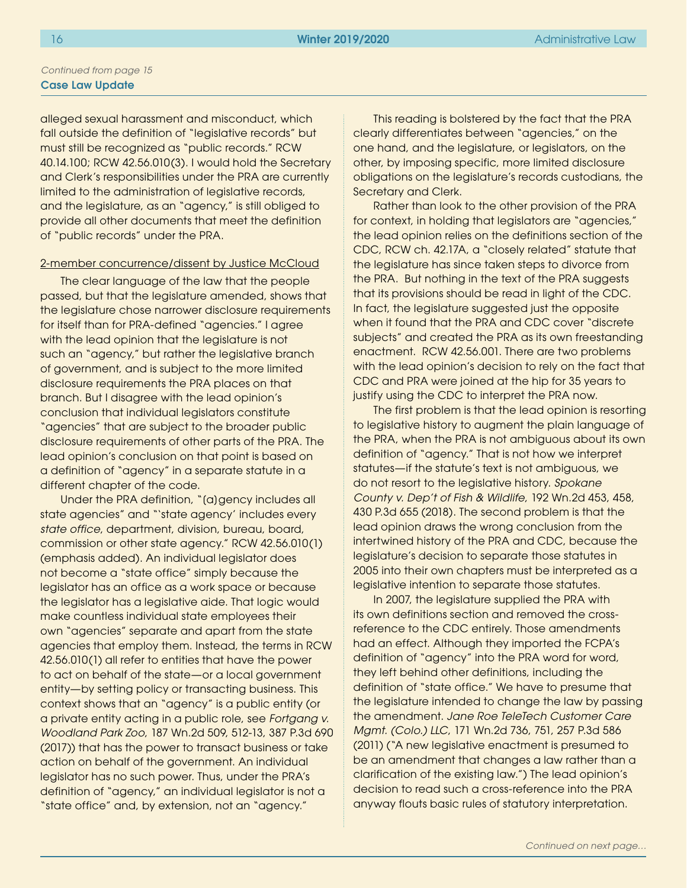alleged sexual harassment and misconduct, which fall outside the definition of "legislative records" but must still be recognized as "public records." RCW 40.14.100; RCW 42.56.010(3). I would hold the Secretary and Clerk's responsibilities under the PRA are currently limited to the administration of legislative records, and the legislature, as an "agency," is still obliged to provide all other documents that meet the definition of "public records" under the PRA.

#### 2-member concurrence/dissent by Justice McCloud

The clear language of the law that the people passed, but that the legislature amended, shows that the legislature chose narrower disclosure requirements for itself than for PRA-defined "agencies." I agree with the lead opinion that the legislature is not such an "agency," but rather the legislative branch of government, and is subject to the more limited disclosure requirements the PRA places on that branch. But I disagree with the lead opinion's conclusion that individual legislators constitute "agencies" that are subject to the broader public disclosure requirements of other parts of the PRA. The lead opinion's conclusion on that point is based on a definition of "agency" in a separate statute in a different chapter of the code.

Under the PRA definition, "[a]gency includes all state agencies" and "'state agency' includes every *state office*, department, division, bureau, board, commission or other state agency." RCW 42.56.010(1) (emphasis added). An individual legislator does not become a "state office" simply because the legislator has an office as a work space or because the legislator has a legislative aide. That logic would make countless individual state employees their own "agencies" separate and apart from the state agencies that employ them. Instead, the terms in RCW 42.56.010(1) all refer to entities that have the power to act on behalf of the state—or a local government entity—by setting policy or transacting business. This context shows that an "agency" is a public entity (or a private entity acting in a public role, see *Fortgang v. Woodland Park Zoo*, 187 Wn.2d 509, 512-13, 387 P.3d 690 (2017)) that has the power to transact business or take action on behalf of the government. An individual legislator has no such power. Thus, under the PRA's definition of "agency," an individual legislator is not a "state office" and, by extension, not an "agency."

This reading is bolstered by the fact that the PRA clearly differentiates between "agencies," on the one hand, and the legislature, or legislators, on the other, by imposing specific, more limited disclosure obligations on the legislature's records custodians, the Secretary and Clerk.

Rather than look to the other provision of the PRA for context, in holding that legislators are "agencies," the lead opinion relies on the definitions section of the CDC, RCW ch. 42.17A, a "closely related" statute that the legislature has since taken steps to divorce from the PRA. But nothing in the text of the PRA suggests that its provisions should be read in light of the CDC. In fact, the legislature suggested just the opposite when it found that the PRA and CDC cover "discrete subjects" and created the PRA as its own freestanding enactment. RCW 42.56.001. There are two problems with the lead opinion's decision to rely on the fact that CDC and PRA were joined at the hip for 35 years to justify using the CDC to interpret the PRA now.

The first problem is that the lead opinion is resorting to legislative history to augment the plain language of the PRA, when the PRA is not ambiguous about its own definition of "agency." That is not how we interpret statutes—if the statute's text is not ambiguous, we do not resort to the legislative history. *Spokane County v. Dep't of Fish & Wildlife*, 192 Wn.2d 453, 458, 430 P.3d 655 (2018). The second problem is that the lead opinion draws the wrong conclusion from the intertwined history of the PRA and CDC, because the legislature's decision to separate those statutes in 2005 into their own chapters must be interpreted as a legislative intention to separate those statutes.

In 2007, the legislature supplied the PRA with its own definitions section and removed the crossreference to the CDC entirely. Those amendments had an effect. Although they imported the FCPA's definition of "agency" into the PRA word for word, they left behind other definitions, including the definition of "state office." We have to presume that the legislature intended to change the law by passing the amendment. *Jane Roe TeleTech Customer Care Mgmt. (Colo.) LLC*, 171 Wn.2d 736, 751, 257 P.3d 586 (2011) ("A new legislative enactment is presumed to be an amendment that changes a law rather than a clarification of the existing law.") The lead opinion's decision to read such a cross-reference into the PRA anyway flouts basic rules of statutory interpretation.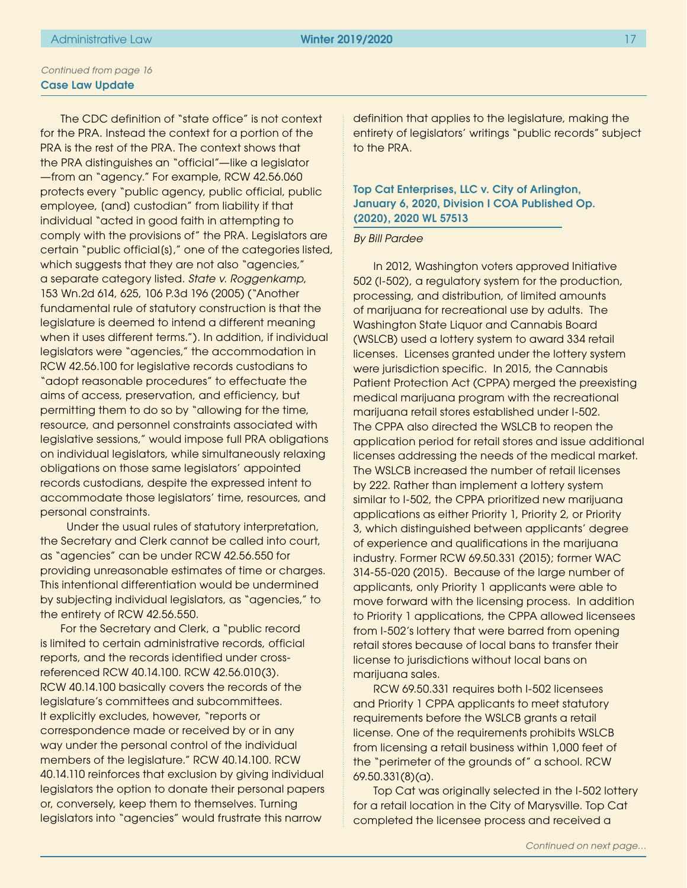The CDC definition of "state office" is not context for the PRA. Instead the context for a portion of the PRA is the rest of the PRA. The context shows that the PRA distinguishes an "official"—like a legislator —from an "agency." For example, RCW 42.56.060 protects every "public agency, public official, public employee, [and] custodian" from liability if that individual "acted in good faith in attempting to comply with the provisions of" the PRA. Legislators are certain "public official[s]," one of the categories listed, which suggests that they are not also "agencies," a separate category listed. *State v. Roggenkamp*, 153 Wn.2d 614, 625, 106 P.3d 196 (2005) ("Another fundamental rule of statutory construction is that the legislature is deemed to intend a different meaning when it uses different terms."). In addition, if individual legislators were "agencies," the accommodation in RCW 42.56.100 for legislative records custodians to "adopt reasonable procedures" to effectuate the aims of access, preservation, and efficiency, but permitting them to do so by "allowing for the time, resource, and personnel constraints associated with legislative sessions," would impose full PRA obligations on individual legislators, while simultaneously relaxing obligations on those same legislators' appointed records custodians, despite the expressed intent to accommodate those legislators' time, resources, and personal constraints.

 Under the usual rules of statutory interpretation, the Secretary and Clerk cannot be called into court, as "agencies" can be under RCW 42.56.550 for providing unreasonable estimates of time or charges. This intentional differentiation would be undermined by subjecting individual legislators, as "agencies," to the entirety of RCW 42.56.550.

For the Secretary and Clerk, a "public record is limited to certain administrative records, official reports, and the records identified under crossreferenced RCW 40.14.100. RCW 42.56.010(3). RCW 40.14.100 basically covers the records of the legislature's committees and subcommittees. It explicitly excludes, however, "reports or correspondence made or received by or in any way under the personal control of the individual members of the legislature." RCW 40.14.100. RCW 40.14.110 reinforces that exclusion by giving individual legislators the option to donate their personal papers or, conversely, keep them to themselves. Turning legislators into "agencies" would frustrate this narrow

definition that applies to the legislature, making the entirety of legislators' writings "public records" subject to the PRA.

Top Cat Enterprises, LLC v. City of Arlington, January 6, 2020, Division I COA Published Op. (2020), 2020 WL 57513

#### *By Bill Pardee*

In 2012, Washington voters approved Initiative 502 (I-502), a regulatory system for the production, processing, and distribution, of limited amounts of marijuana for recreational use by adults. The Washington State Liquor and Cannabis Board (WSLCB) used a lottery system to award 334 retail licenses. Licenses granted under the lottery system were jurisdiction specific. In 2015, the Cannabis Patient Protection Act (CPPA) merged the preexisting medical marijuana program with the recreational marijuana retail stores established under I-502. The CPPA also directed the WSLCB to reopen the application period for retail stores and issue additional licenses addressing the needs of the medical market. The WSLCB increased the number of retail licenses by 222. Rather than implement a lottery system similar to I-502, the CPPA prioritized new marijuana applications as either Priority 1, Priority 2, or Priority 3, which distinguished between applicants' degree of experience and qualifications in the marijuana industry. Former RCW 69.50.331 (2015); former WAC 314-55-020 (2015). Because of the large number of applicants, only Priority 1 applicants were able to move forward with the licensing process. In addition to Priority 1 applications, the CPPA allowed licensees from I-502's lottery that were barred from opening retail stores because of local bans to transfer their license to jurisdictions without local bans on marijuana sales.

RCW 69.50.331 requires both I-502 licensees and Priority 1 CPPA applicants to meet statutory requirements before the WSLCB grants a retail license. One of the requirements prohibits WSLCB from licensing a retail business within 1,000 feet of the "perimeter of the grounds of" a school. RCW 69.50.331(8)(a).

Top Cat was originally selected in the I-502 lottery for a retail location in the City of Marysville. Top Cat completed the licensee process and received a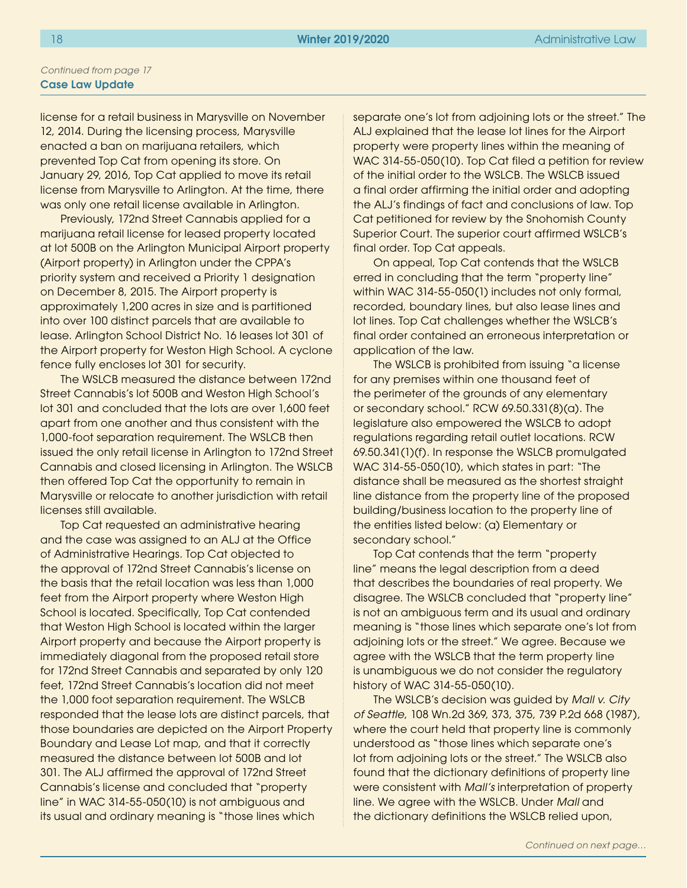license for a retail business in Marysville on November 12, 2014. During the licensing process, Marysville enacted a ban on marijuana retailers, which prevented Top Cat from opening its store. On January 29, 2016, Top Cat applied to move its retail license from Marysville to Arlington. At the time, there was only one retail license available in Arlington.

Previously, 172nd Street Cannabis applied for a marijuana retail license for leased property located at lot 500B on the Arlington Municipal Airport property (Airport property) in Arlington under the CPPA's priority system and received a Priority 1 designation on December 8, 2015. The Airport property is approximately 1,200 acres in size and is partitioned into over 100 distinct parcels that are available to lease. Arlington School District No. 16 leases lot 301 of the Airport property for Weston High School. A cyclone fence fully encloses lot 301 for security.

The WSLCB measured the distance between 172nd Street Cannabis's lot 500B and Weston High School's lot 301 and concluded that the lots are over 1,600 feet apart from one another and thus consistent with the 1,000-foot separation requirement. The WSLCB then issued the only retail license in Arlington to 172nd Street Cannabis and closed licensing in Arlington. The WSLCB then offered Top Cat the opportunity to remain in Marysville or relocate to another jurisdiction with retail licenses still available.

Top Cat requested an administrative hearing and the case was assigned to an ALJ at the Office of Administrative Hearings. Top Cat objected to the approval of 172nd Street Cannabis's license on the basis that the retail location was less than 1,000 feet from the Airport property where Weston High School is located. Specifically, Top Cat contended that Weston High School is located within the larger Airport property and because the Airport property is immediately diagonal from the proposed retail store for 172nd Street Cannabis and separated by only 120 feet, 172nd Street Cannabis's location did not meet the 1,000 foot separation requirement. The WSLCB responded that the lease lots are distinct parcels, that those boundaries are depicted on the Airport Property Boundary and Lease Lot map, and that it correctly measured the distance between lot 500B and lot 301. The ALJ affirmed the approval of 172nd Street Cannabis's license and concluded that "property line" in WAC 314-55-050(10) is not ambiguous and its usual and ordinary meaning is "those lines which

separate one's lot from adjoining lots or the street." The ALJ explained that the lease lot lines for the Airport property were property lines within the meaning of WAC 314-55-050(10). Top Cat filed a petition for review of the initial order to the WSLCB. The WSLCB issued a final order affirming the initial order and adopting the ALJ's findings of fact and conclusions of law. Top Cat petitioned for review by the Snohomish County Superior Court. The superior court affirmed WSLCB's final order. Top Cat appeals.

On appeal, Top Cat contends that the WSLCB erred in concluding that the term "property line" within WAC 314-55-050(1) includes not only formal, recorded, boundary lines, but also lease lines and lot lines. Top Cat challenges whether the WSLCB's final order contained an erroneous interpretation or application of the law.

The WSLCB is prohibited from issuing "a license for any premises within one thousand feet of the perimeter of the grounds of any elementary or secondary school." RCW 69.50.331(8)(a). The legislature also empowered the WSLCB to adopt regulations regarding retail outlet locations. RCW 69.50.341(1)(f). In response the WSLCB promulgated WAC 314-55-050(10), which states in part: "The distance shall be measured as the shortest straight line distance from the property line of the proposed building/business location to the property line of the entities listed below: (a) Elementary or secondary school."

Top Cat contends that the term "property line" means the legal description from a deed that describes the boundaries of real property. We disagree. The WSLCB concluded that "property line" is not an ambiguous term and its usual and ordinary meaning is "those lines which separate one's lot from adjoining lots or the street." We agree. Because we agree with the WSLCB that the term property line is unambiguous we do not consider the regulatory history of WAC 314-55-050(10).

The WSLCB's decision was guided by *Mall v. City of Seattle*, 108 Wn.2d 369, 373, 375, 739 P.2d 668 (1987), where the court held that property line is commonly understood as "those lines which separate one's lot from adjoining lots or the street." The WSLCB also found that the dictionary definitions of property line were consistent with *Mall's* interpretation of property line. We agree with the WSLCB. Under *Mall* and the dictionary definitions the WSLCB relied upon,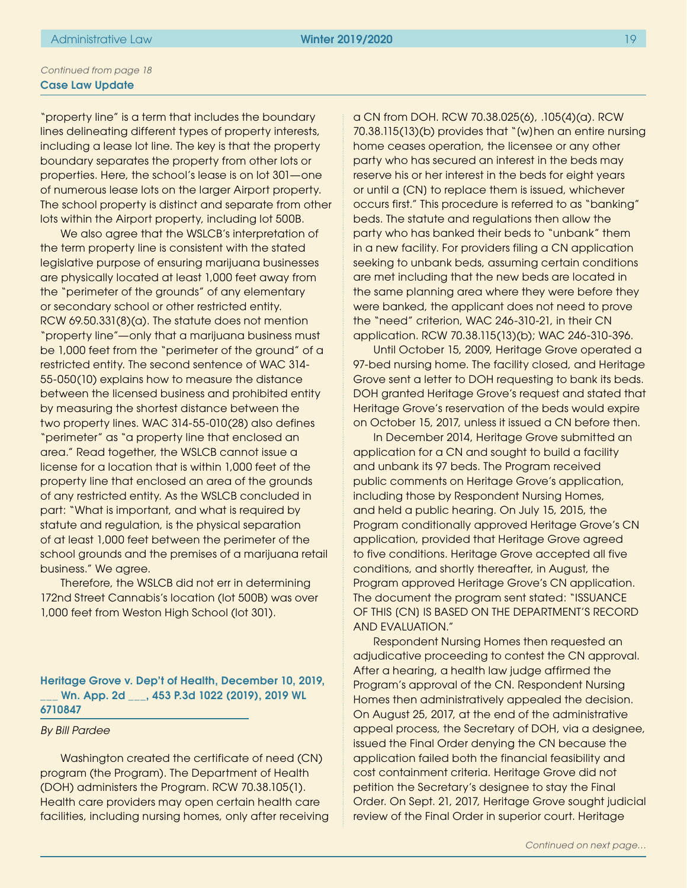"property line" is a term that includes the boundary lines delineating different types of property interests, including a lease lot line. The key is that the property boundary separates the property from other lots or properties. Here, the school's lease is on lot 301—one of numerous lease lots on the larger Airport property. The school property is distinct and separate from other lots within the Airport property, including lot 500B.

We also agree that the WSLCB's interpretation of the term property line is consistent with the stated legislative purpose of ensuring marijuana businesses are physically located at least 1,000 feet away from the "perimeter of the grounds" of any elementary or secondary school or other restricted entity. RCW 69.50.331(8)(a). The statute does not mention "property line"—only that a marijuana business must be 1,000 feet from the "perimeter of the ground" of a restricted entity. The second sentence of WAC 314- 55-050(10) explains how to measure the distance between the licensed business and prohibited entity by measuring the shortest distance between the two property lines. WAC 314-55-010(28) also defines "perimeter" as "a property line that enclosed an area." Read together, the WSLCB cannot issue a license for a location that is within 1,000 feet of the property line that enclosed an area of the grounds of any restricted entity. As the WSLCB concluded in part: "What is important, and what is required by statute and regulation, is the physical separation of at least 1,000 feet between the perimeter of the school grounds and the premises of a marijuana retail business." We agree.

Therefore, the WSLCB did not err in determining 172nd Street Cannabis's location (lot 500B) was over 1,000 feet from Weston High School (lot 301).

Heritage Grove v. Dep't of Health, December 10, 2019, Wn. App. 2d \_\_\_, 453 P.3d 1022 (2019), 2019 WL 6710847

#### *By Bill Pardee*

Washington created the certificate of need (CN) program (the Program). The Department of Health (DOH) administers the Program. RCW 70.38.105(1). Health care providers may open certain health care facilities, including nursing homes, only after receiving a CN from DOH. RCW 70.38.025(6), .105(4)(a). RCW 70.38.115(13)(b) provides that "[w]hen an entire nursing home ceases operation, the licensee or any other party who has secured an interest in the beds may reserve his or her interest in the beds for eight years or until a [CN] to replace them is issued, whichever occurs first." This procedure is referred to as "banking" beds. The statute and regulations then allow the party who has banked their beds to "unbank" them in a new facility. For providers filing a CN application seeking to unbank beds, assuming certain conditions are met including that the new beds are located in the same planning area where they were before they were banked, the applicant does not need to prove the "need" criterion, WAC 246-310-21, in their CN application. RCW 70.38.115(13)(b); WAC 246-310-396.

Until October 15, 2009, Heritage Grove operated a 97-bed nursing home. The facility closed, and Heritage Grove sent a letter to DOH requesting to bank its beds. DOH granted Heritage Grove's request and stated that Heritage Grove's reservation of the beds would expire on October 15, 2017, unless it issued a CN before then.

In December 2014, Heritage Grove submitted an application for a CN and sought to build a facility and unbank its 97 beds. The Program received public comments on Heritage Grove's application, including those by Respondent Nursing Homes, and held a public hearing. On July 15, 2015, the Program conditionally approved Heritage Grove's CN application, provided that Heritage Grove agreed to five conditions. Heritage Grove accepted all five conditions, and shortly thereafter, in August, the Program approved Heritage Grove's CN application. The document the program sent stated: "ISSUANCE OF THIS [CN] IS BASED ON THE DEPARTMENT'S RECORD AND EVALUATION."

Respondent Nursing Homes then requested an adjudicative proceeding to contest the CN approval. After a hearing, a health law judge affirmed the Program's approval of the CN. Respondent Nursing Homes then administratively appealed the decision. On August 25, 2017, at the end of the administrative appeal process, the Secretary of DOH, via a designee, issued the Final Order denying the CN because the application failed both the financial feasibility and cost containment criteria. Heritage Grove did not petition the Secretary's designee to stay the Final Order. On Sept. 21, 2017, Heritage Grove sought judicial review of the Final Order in superior court. Heritage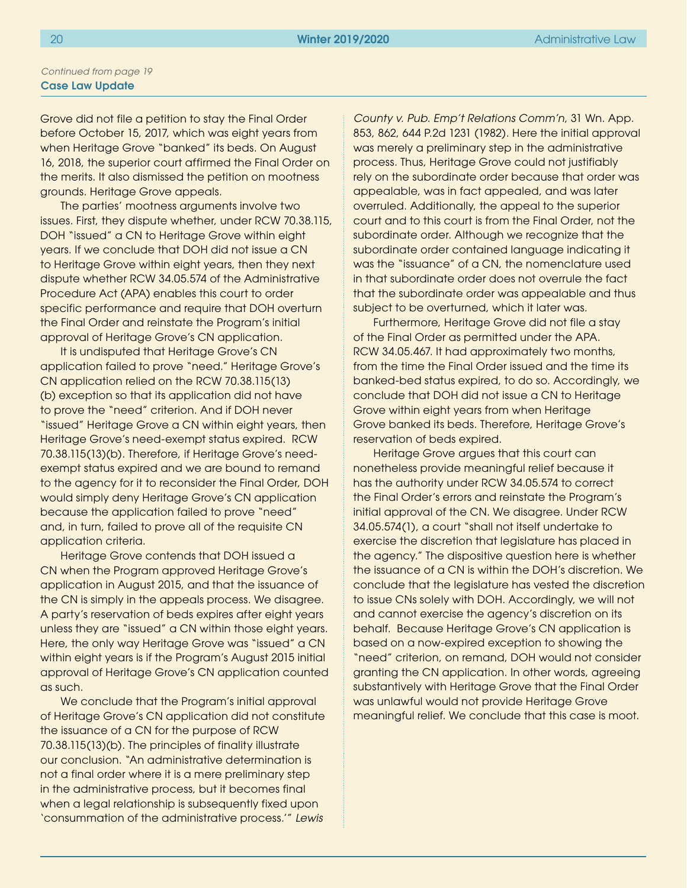Grove did not file a petition to stay the Final Order before October 15, 2017, which was eight years from when Heritage Grove "banked" its beds. On August 16, 2018, the superior court affirmed the Final Order on the merits. It also dismissed the petition on mootness grounds. Heritage Grove appeals.

The parties' mootness arguments involve two issues. First, they dispute whether, under RCW 70.38.115, DOH "issued" a CN to Heritage Grove within eight years. If we conclude that DOH did not issue a CN to Heritage Grove within eight years, then they next dispute whether RCW 34.05.574 of the Administrative Procedure Act (APA) enables this court to order specific performance and require that DOH overturn the Final Order and reinstate the Program's initial approval of Heritage Grove's CN application.

It is undisputed that Heritage Grove's CN application failed to prove "need." Heritage Grove's CN application relied on the RCW 70.38.115(13) (b) exception so that its application did not have to prove the "need" criterion. And if DOH never "issued" Heritage Grove a CN within eight years, then Heritage Grove's need-exempt status expired. RCW 70.38.115(13)(b). Therefore, if Heritage Grove's needexempt status expired and we are bound to remand to the agency for it to reconsider the Final Order, DOH would simply deny Heritage Grove's CN application because the application failed to prove "need" and, in turn, failed to prove all of the requisite CN application criteria.

Heritage Grove contends that DOH issued a CN when the Program approved Heritage Grove's application in August 2015, and that the issuance of the CN is simply in the appeals process. We disagree. A party's reservation of beds expires after eight years unless they are "issued" a CN within those eight years. Here, the only way Heritage Grove was "issued" a CN within eight years is if the Program's August 2015 initial approval of Heritage Grove's CN application counted as such.

We conclude that the Program's initial approval of Heritage Grove's CN application did not constitute the issuance of a CN for the purpose of RCW 70.38.115(13)(b). The principles of finality illustrate our conclusion. "An administrative determination is not a final order where it is a mere preliminary step in the administrative process, but it becomes final when a legal relationship is subsequently fixed upon 'consummation of the administrative process.'" *Lewis* 

*County v. Pub. Emp't Relations Comm'n*, 31 Wn. App. 853, 862, 644 P.2d 1231 (1982). Here the initial approval was merely a preliminary step in the administrative process. Thus, Heritage Grove could not justifiably rely on the subordinate order because that order was appealable, was in fact appealed, and was later overruled. Additionally, the appeal to the superior court and to this court is from the Final Order, not the subordinate order. Although we recognize that the subordinate order contained language indicating it was the "issuance" of a CN, the nomenclature used in that subordinate order does not overrule the fact that the subordinate order was appealable and thus subject to be overturned, which it later was.

Furthermore, Heritage Grove did not file a stay of the Final Order as permitted under the APA. RCW 34.05.467. It had approximately two months, from the time the Final Order issued and the time its banked-bed status expired, to do so. Accordingly, we conclude that DOH did not issue a CN to Heritage Grove within eight years from when Heritage Grove banked its beds. Therefore, Heritage Grove's reservation of beds expired.

Heritage Grove argues that this court can nonetheless provide meaningful relief because it has the authority under RCW 34.05.574 to correct the Final Order's errors and reinstate the Program's initial approval of the CN. We disagree. Under RCW 34.05.574(1), a court "shall not itself undertake to exercise the discretion that legislature has placed in the agency." The dispositive question here is whether the issuance of a CN is within the DOH's discretion. We conclude that the legislature has vested the discretion to issue CNs solely with DOH. Accordingly, we will not and cannot exercise the agency's discretion on its behalf. Because Heritage Grove's CN application is based on a now-expired exception to showing the "need" criterion, on remand, DOH would not consider granting the CN application. In other words, agreeing substantively with Heritage Grove that the Final Order was unlawful would not provide Heritage Grove meaningful relief. We conclude that this case is moot.